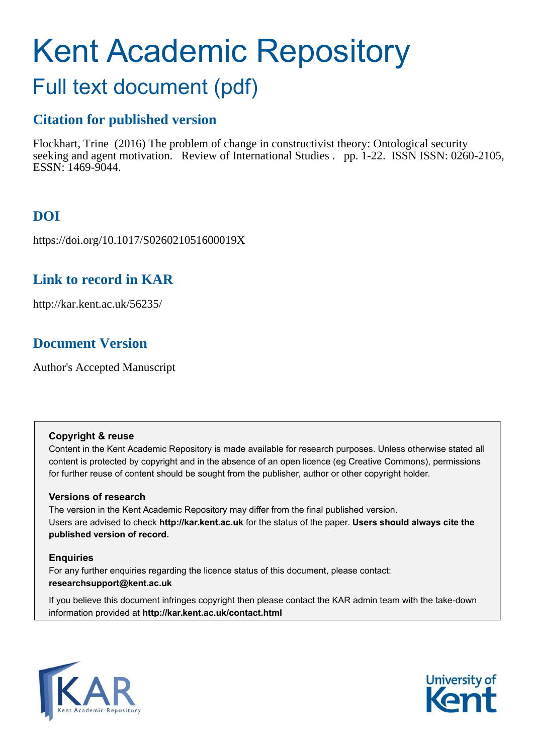# Kent Academic Repository

## Full text document (pdf)

## **Citation for published version**

Flockhart, Trine (2016) The problem of change in constructivist theory: Ontological security seeking and agent motivation. Review of International Studies . pp. 1-22. ISSN ISSN: 0260-2105, ESSN: 1469-9044.

## **DOI**

https://doi.org/10.1017/S026021051600019X

## **Link to record in KAR**

http://kar.kent.ac.uk/56235/

## **Document Version**

Author's Accepted Manuscript

#### **Copyright & reuse**

Content in the Kent Academic Repository is made available for research purposes. Unless otherwise stated all content is protected by copyright and in the absence of an open licence (eg Creative Commons), permissions for further reuse of content should be sought from the publisher, author or other copyright holder.

#### **Versions of research**

The version in the Kent Academic Repository may differ from the final published version. Users are advised to check **http://kar.kent.ac.uk** for the status of the paper. **Users should always cite the published version of record.**

#### **Enquiries**

For any further enquiries regarding the licence status of this document, please contact: **researchsupport@kent.ac.uk**

If you believe this document infringes copyright then please contact the KAR admin team with the take-down information provided at **http://kar.kent.ac.uk/contact.html**



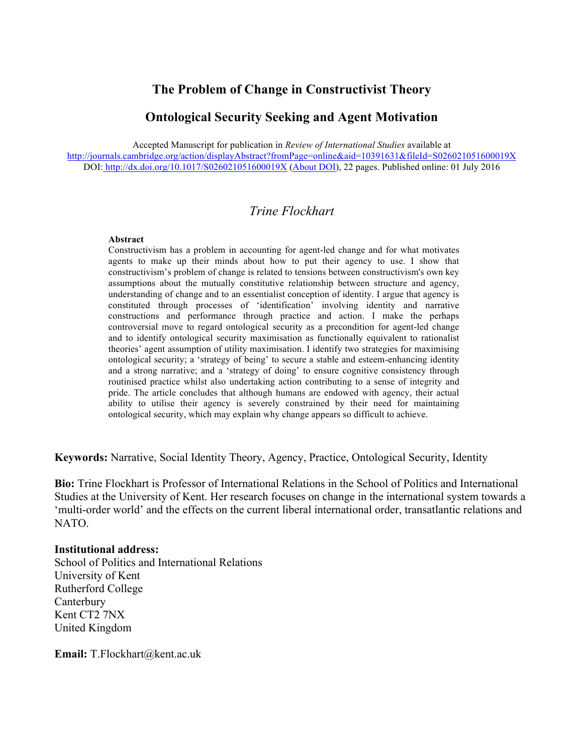#### **The Problem of Change in Constructivist Theory**

#### **Ontological Security Seeking and Agent Motivation**

Accepted Manuscript for publication in *Review of International Studies* available at http://journals.cambridge.org/action/displayAbstract?fromPage=online&aid=10391631&fileId=S026021051600019X DOI: http://dx.doi.org/10.1017/S026021051600019X (About DOI), 22 pages. Published online: 01 July 2016

#### *Trine Flockhart*

#### **Abstract**

Constructivism has a problem in accounting for agent-led change and for what motivates agents to make up their minds about how to put their agency to use. I show that constructivism's problem of change is related to tensions between constructivism's own key assumptions about the mutually constitutive relationship between structure and agency, understanding of change and to an essentialist conception of identity. I argue that agency is constituted through processes of 'identification' involving identity and narrative constructions and performance through practice and action. I make the perhaps controversial move to regard ontological security as a precondition for agent-led change and to identify ontological security maximisation as functionally equivalent to rationalist theories' agent assumption of utility maximisation. I identify two strategies for maximising ontological security; a 'strategy of being' to secure a stable and esteem-enhancing identity and a strong narrative; and a 'strategy of doing' to ensure cognitive consistency through routinised practice whilst also undertaking action contributing to a sense of integrity and pride. The article concludes that although humans are endowed with agency, their actual ability to utilise their agency is severely constrained by their need for maintaining ontological security, which may explain why change appears so difficult to achieve.

**Keywords:** Narrative, Social Identity Theory, Agency, Practice, Ontological Security, Identity

**Bio:** Trine Flockhart is Professor of International Relations in the School of Politics and International Studies at the University of Kent. Her research focuses on change in the international system towards a 'multi-order world' and the effects on the current liberal international order, transatlantic relations and NATO.

#### **Institutional address:**

School of Politics and International Relations University of Kent Rutherford College Canterbury Kent CT2 7NX United Kingdom

**Email:** T.Flockhart@kent.ac.uk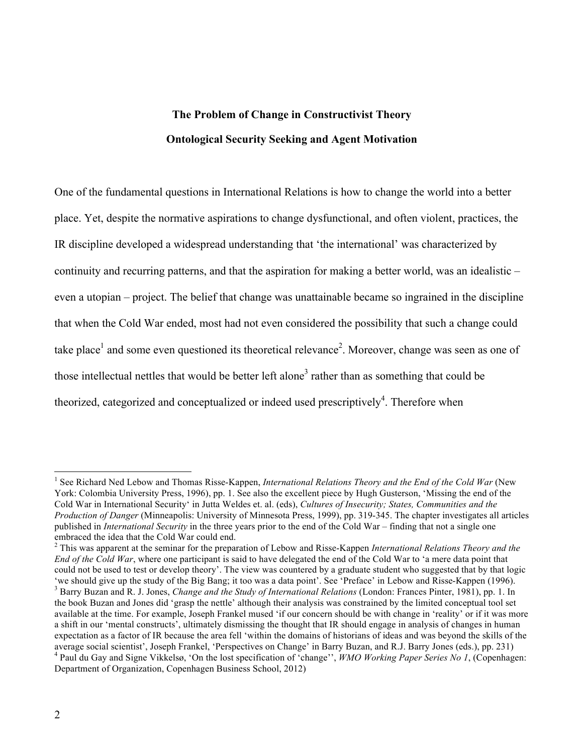## **The Problem of Change in Constructivist Theory Ontological Security Seeking and Agent Motivation**

One of the fundamental questions in International Relations is how to change the world into a better place. Yet, despite the normative aspirations to change dysfunctional, and often violent, practices, the IR discipline developed a widespread understanding that 'the international' was characterized by continuity and recurring patterns, and that the aspiration for making a better world, was an idealistic – even a utopian – project. The belief that change was unattainable became so ingrained in the discipline that when the Cold War ended, most had not even considered the possibility that such a change could take place<sup>1</sup> and some even questioned its theoretical relevance<sup>2</sup>. Moreover, change was seen as one of those intellectual nettles that would be better left alone<sup>3</sup> rather than as something that could be theorized, categorized and conceptualized or indeed used prescriptively<sup>4</sup>. Therefore when

<sup>&</sup>lt;sup>1</sup> See Richard Ned Lebow and Thomas Risse-Kappen, *International Relations Theory and the End of the Cold War* (New York: Colombia University Press, 1996), pp. 1. See also the excellent piece by Hugh Gusterson, 'Missing the end of the Cold War in International Security' in Jutta Weldes et. al. (eds), *Cultures of Insecurity; States, Communities and the Production of Danger* (Minneapolis: University of Minnesota Press, 1999), pp. 319-345. The chapter investigates all articles published in *International Security* in the three years prior to the end of the Cold War – finding that not a single one embraced the idea that the Cold War could end.

<sup>2</sup> This was apparent at the seminar for the preparation of Lebow and Risse-Kappen *International Relations Theory and the End of the Cold War*, where one participant is said to have delegated the end of the Cold War to 'a mere data point that could not be used to test or develop theory'. The view was countered by a graduate student who suggested that by that logic 'we should give up the study of the Big Bang; it too was a data point'. See 'Preface' in Lebow and Risse-Kappen (1996). <sup>3</sup> Barry Buzan and R. J. Jones, *Change and the Study of International Relations* (London: Frances Pinter, 1981), pp. 1. In the book Buzan and Jones did 'grasp the nettle' although their analysis was constrained by the limited conceptual tool set available at the time. For example, Joseph Frankel mused 'if our concern should be with change in 'reality' or if it was more a shift in our 'mental constructs', ultimately dismissing the thought that IR should engage in analysis of changes in human expectation as a factor of IR because the area fell 'within the domains of historians of ideas and was beyond the skills of the average social scientist', Joseph Frankel, 'Perspectives on Change' in Barry Buzan, and R.J. Barry Jones (eds.), pp. 231) 4 Paul du Gay and Signe Vikkelsø, 'On the lost specification of 'change'', *WMO Working Paper Series No 1*, (Copenhagen: Department of Organization, Copenhagen Business School, 2012)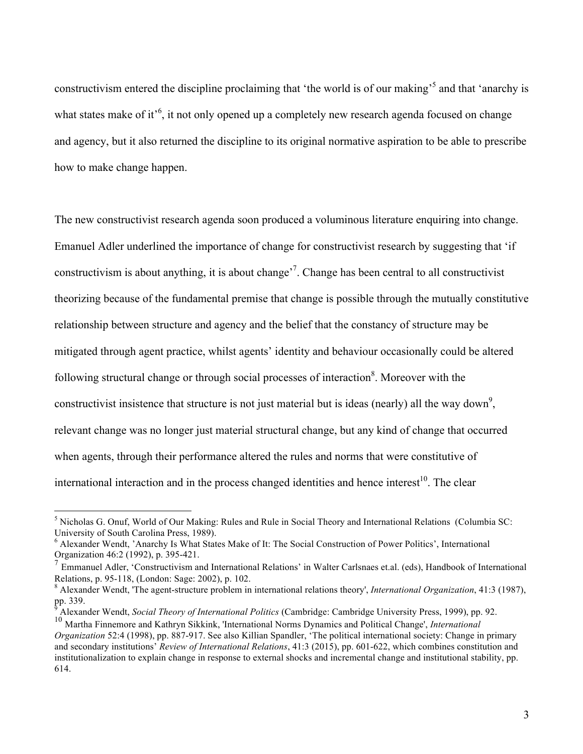constructivism entered the discipline proclaiming that 'the world is of our making'<sup>5</sup> and that 'anarchy is what states make of it<sup>16</sup>, it not only opened up a completely new research agenda focused on change and agency, but it also returned the discipline to its original normative aspiration to be able to prescribe how to make change happen.

The new constructivist research agenda soon produced a voluminous literature enquiring into change. Emanuel Adler underlined the importance of change for constructivist research by suggesting that 'if constructivism is about anything, it is about change<sup> $7$ </sup>. Change has been central to all constructivist theorizing because of the fundamental premise that change is possible through the mutually constitutive relationship between structure and agency and the belief that the constancy of structure may be mitigated through agent practice, whilst agents' identity and behaviour occasionally could be altered following structural change or through social processes of interaction<sup>8</sup>. Moreover with the constructivist insistence that structure is not just material but is ideas (nearly) all the way down<sup>9</sup>, relevant change was no longer just material structural change, but any kind of change that occurred when agents, through their performance altered the rules and norms that were constitutive of international interaction and in the process changed identities and hence interest<sup>10</sup>. The clear

<sup>&</sup>lt;sup>5</sup> Nicholas G. Onuf, World of Our Making: Rules and Rule in Social Theory and International Relations (Columbia SC: University of South Carolina Press, 1989).

<sup>&</sup>lt;sup>6</sup> Alexander Wendt, 'Anarchy Is What States Make of It: The Social Construction of Power Politics', International Organization 46:2 (1992), p. 395-421.

 $<sup>7</sup>$  Emmanuel Adler, 'Constructivism and International Relations' in Walter Carlsnaes et.al. (eds), Handbook of International</sup> Relations, p. 95-118, (London: Sage: 2002), p. 102.

<sup>8</sup> Alexander Wendt, 'The agent-structure problem in international relations theory', *International Organization*, 41:3 (1987), pp. 339.

<sup>9</sup> Alexander Wendt, *Social Theory of International Politics* (Cambridge: Cambridge University Press, 1999), pp. 92.

<sup>10</sup> Martha Finnemore and Kathryn Sikkink, 'International Norms Dynamics and Political Change', *International Organization* 52:4 (1998), pp. 887-917. See also Killian Spandler, 'The political international society: Change in primary and secondary institutions' *Review of International Relations*, 41:3 (2015), pp. 601-622, which combines constitution and institutionalization to explain change in response to external shocks and incremental change and institutional stability, pp. 614.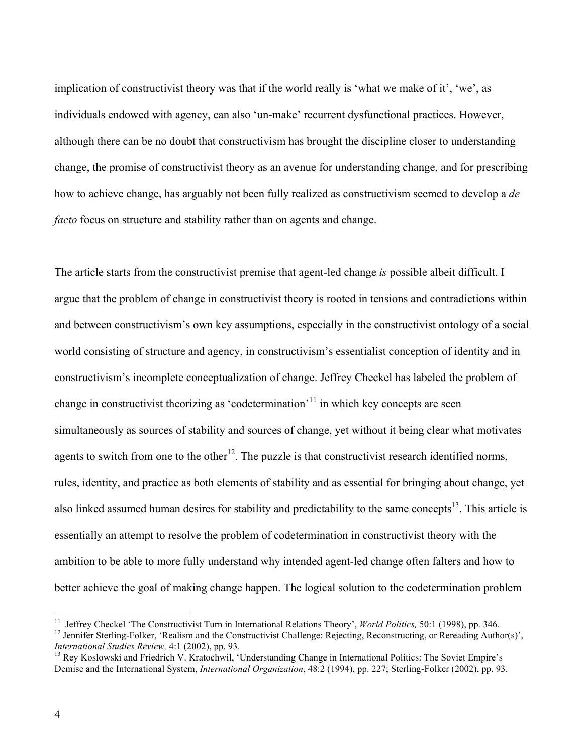implication of constructivist theory was that if the world really is 'what we make of it', 'we', as individuals endowed with agency, can also 'un-make' recurrent dysfunctional practices. However, although there can be no doubt that constructivism has brought the discipline closer to understanding change, the promise of constructivist theory as an avenue for understanding change, and for prescribing how to achieve change, has arguably not been fully realized as constructivism seemed to develop a *de facto* focus on structure and stability rather than on agents and change.

The article starts from the constructivist premise that agent-led change *is* possible albeit difficult. I argue that the problem of change in constructivist theory is rooted in tensions and contradictions within and between constructivism's own key assumptions, especially in the constructivist ontology of a social world consisting of structure and agency, in constructivism's essentialist conception of identity and in constructivism's incomplete conceptualization of change. Jeffrey Checkel has labeled the problem of change in constructivist theorizing as 'codetermination'<sup>11</sup> in which key concepts are seen simultaneously as sources of stability and sources of change, yet without it being clear what motivates agents to switch from one to the other<sup>12</sup>. The puzzle is that constructivist research identified norms, rules, identity, and practice as both elements of stability and as essential for bringing about change, yet also linked assumed human desires for stability and predictability to the same concepts<sup>13</sup>. This article is essentially an attempt to resolve the problem of codetermination in constructivist theory with the ambition to be able to more fully understand why intended agent-led change often falters and how to better achieve the goal of making change happen. The logical solution to the codetermination problem

 11 Jeffrey Checkel 'The Constructivist Turn in International Relations Theory', *World Politics,* 50:1 (1998), pp. 346.

<sup>&</sup>lt;sup>12</sup> Jennifer Sterling-Folker, 'Realism and the Constructivist Challenge: Rejecting, Reconstructing, or Rereading Author(s)', *International Studies Review,* 4:1 (2002), pp. 93.

<sup>&</sup>lt;sup>13</sup> Rey Koslowski and Friedrich V. Kratochwil, 'Understanding Change in International Politics: The Soviet Empire's Demise and the International System, *International Organization*, 48:2 (1994), pp. 227; Sterling-Folker (2002), pp. 93.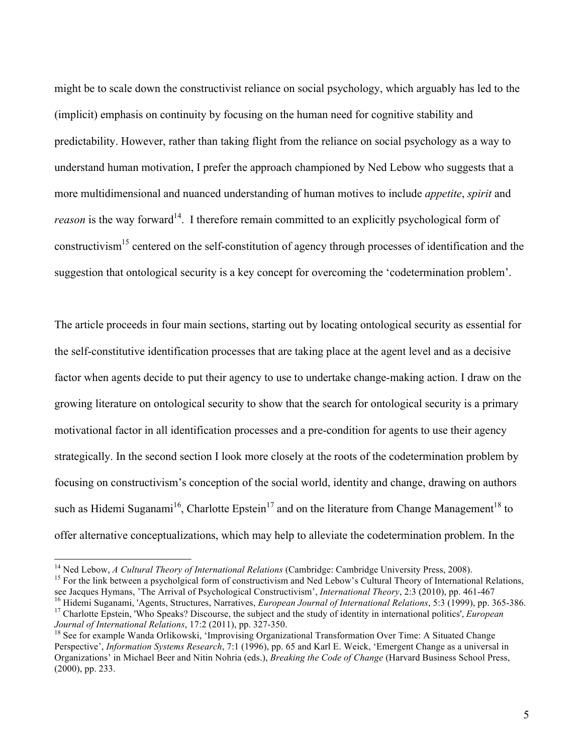might be to scale down the constructivist reliance on social psychology, which arguably has led to the (implicit) emphasis on continuity by focusing on the human need for cognitive stability and predictability. However, rather than taking flight from the reliance on social psychology as a way to understand human motivation, I prefer the approach championed by Ned Lebow who suggests that a more multidimensional and nuanced understanding of human motives to include *appetite*, *spirit* and *reason* is the way forward<sup>14</sup>. I therefore remain committed to an explicitly psychological form of constructivism<sup>15</sup> centered on the self-constitution of agency through processes of identification and the suggestion that ontological security is a key concept for overcoming the 'codetermination problem'.

The article proceeds in four main sections, starting out by locating ontological security as essential for the self-constitutive identification processes that are taking place at the agent level and as a decisive factor when agents decide to put their agency to use to undertake change-making action. I draw on the growing literature on ontological security to show that the search for ontological security is a primary motivational factor in all identification processes and a pre-condition for agents to use their agency strategically. In the second section I look more closely at the roots of the codetermination problem by focusing on constructivism's conception of the social world, identity and change, drawing on authors such as Hidemi Suganami<sup>16</sup>, Charlotte Epstein<sup>17</sup> and on the literature from Change Management<sup>18</sup> to offer alternative conceptualizations, which may help to alleviate the codetermination problem. In the

<sup>&</sup>lt;sup>14</sup> Ned Lebow, *A Cultural Theory of International Relations* (Cambridge: Cambridge University Press, 2008).

<sup>&</sup>lt;sup>15</sup> For the link between a psycholgical form of constructivism and Ned Lebow's Cultural Theory of International Relations, see Jacques Hymans, 'The Arrival of Psychological Constructivism', *International Theory*, 2:3 (2010), pp. 461-467

<sup>16</sup> Hidemi Suganami, 'Agents, Structures, Narratives, *European Journal of International Relations*, 5:3 (1999), pp. 365-386. <sup>17</sup> Charlotte Epstein, 'Who Speaks? Discourse, the subject and the study of identity in international politics', *European Journal of International Relations*, 17:2 (2011), pp. 327-350.

<sup>&</sup>lt;sup>18</sup> See for example Wanda Orlikowski, 'Improvising Organizational Transformation Over Time: A Situated Change Perspective', *Information Systems Research*, 7:1 (1996), pp. 65 and Karl E. Weick, 'Emergent Change as a universal in Organizations' in Michael Beer and Nitin Nohria (eds.), *Breaking the Code of Change* (Harvard Business School Press, (2000), pp. 233.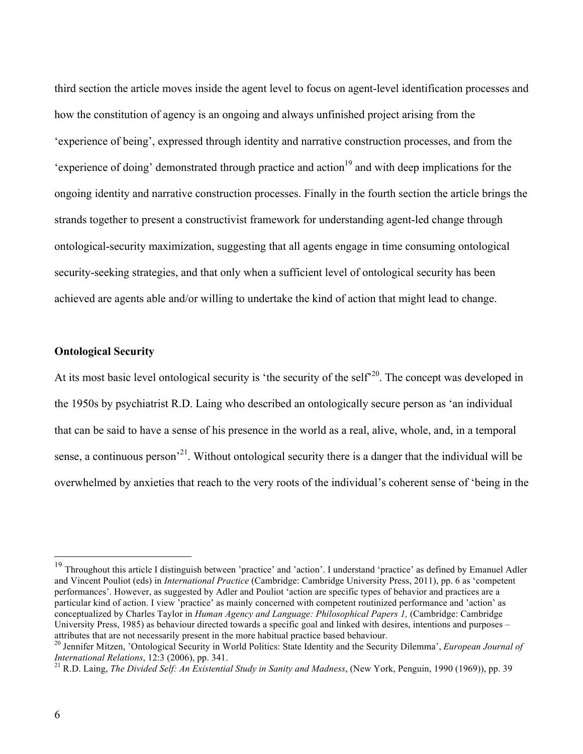third section the article moves inside the agent level to focus on agent-level identification processes and how the constitution of agency is an ongoing and always unfinished project arising from the 'experience of being', expressed through identity and narrative construction processes, and from the 'experience of doing' demonstrated through practice and action<sup>19</sup> and with deep implications for the ongoing identity and narrative construction processes. Finally in the fourth section the article brings the strands together to present a constructivist framework for understanding agent-led change through ontological-security maximization, suggesting that all agents engage in time consuming ontological security-seeking strategies, and that only when a sufficient level of ontological security has been achieved are agents able and/or willing to undertake the kind of action that might lead to change.

#### **Ontological Security**

At its most basic level ontological security is 'the security of the self<sup>-20</sup>. The concept was developed in the 1950s by psychiatrist R.D. Laing who described an ontologically secure person as 'an individual that can be said to have a sense of his presence in the world as a real, alive, whole, and, in a temporal sense, a continuous person<sup>21</sup>. Without ontological security there is a danger that the individual will be overwhelmed by anxieties that reach to the very roots of the individual's coherent sense of 'being in the

<u>.</u>

<sup>&</sup>lt;sup>19</sup> Throughout this article I distinguish between 'practice' and 'action'. I understand 'practice' as defined by Emanuel Adler and Vincent Pouliot (eds) in *International Practice* (Cambridge: Cambridge University Press, 2011), pp. 6 as 'competent performances'. However, as suggested by Adler and Pouliot 'action are specific types of behavior and practices are a particular kind of action. I view 'practice' as mainly concerned with competent routinized performance and 'action' as conceptualized by Charles Taylor in *Human Agency and Language: Philosophical Papers 1,* (Cambridge: Cambridge University Press, 1985) as behaviour directed towards a specific goal and linked with desires, intentions and purposes – attributes that are not necessarily present in the more habitual practice based behaviour.

<sup>20</sup> Jennifer Mitzen, 'Ontological Security in World Politics: State Identity and the Security Dilemma', *European Journal of International Relations*, 12:3 (2006), pp. 341.

<sup>21</sup> R.D. Laing, *The Divided Self: An Existential Study in Sanity and Madness*, (New York, Penguin, 1990 (1969)), pp. 39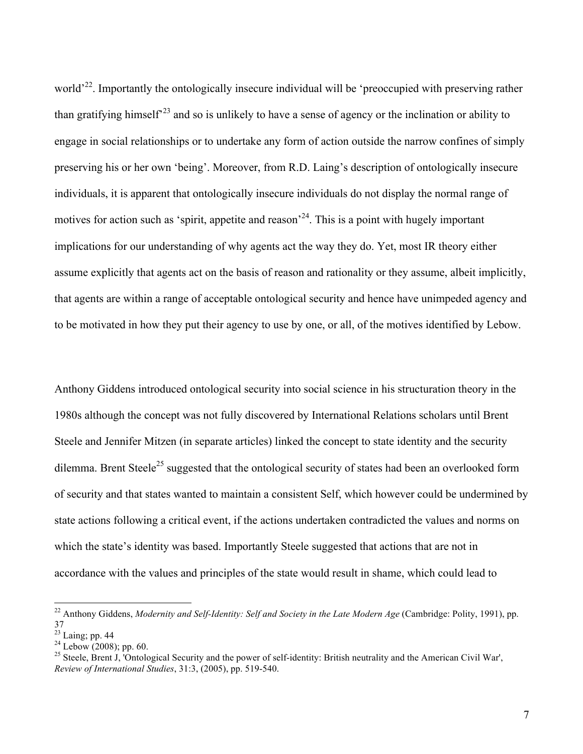world<sup>-22</sup>. Importantly the ontologically insecure individual will be 'preoccupied with preserving rather than gratifying himself<sup> $23$ </sup> and so is unlikely to have a sense of agency or the inclination or ability to engage in social relationships or to undertake any form of action outside the narrow confines of simply preserving his or her own 'being'. Moreover, from R.D. Laing's description of ontologically insecure individuals, it is apparent that ontologically insecure individuals do not display the normal range of motives for action such as 'spirit, appetite and reason<sup>24</sup>. This is a point with hugely important implications for our understanding of why agents act the way they do. Yet, most IR theory either assume explicitly that agents act on the basis of reason and rationality or they assume, albeit implicitly, that agents are within a range of acceptable ontological security and hence have unimpeded agency and to be motivated in how they put their agency to use by one, or all, of the motives identified by Lebow.

Anthony Giddens introduced ontological security into social science in his structuration theory in the 1980s although the concept was not fully discovered by International Relations scholars until Brent Steele and Jennifer Mitzen (in separate articles) linked the concept to state identity and the security dilemma. Brent Steele<sup>25</sup> suggested that the ontological security of states had been an overlooked form of security and that states wanted to maintain a consistent Self, which however could be undermined by state actions following a critical event, if the actions undertaken contradicted the values and norms on which the state's identity was based. Importantly Steele suggested that actions that are not in accordance with the values and principles of the state would result in shame, which could lead to

<sup>22</sup> Anthony Giddens, *Modernity and Self-Identity: Self and Society in the Late Modern Age* (Cambridge: Polity, 1991), pp. 37

<sup>&</sup>lt;sup>23</sup> Laing; pp. 44

 $24$  Lebow (2008); pp. 60.

<sup>&</sup>lt;sup>25</sup> Steele, Brent J, 'Ontological Security and the power of self-identity: British neutrality and the American Civil War', *Review of International Studies*, 31:3, (2005), pp. 519-540.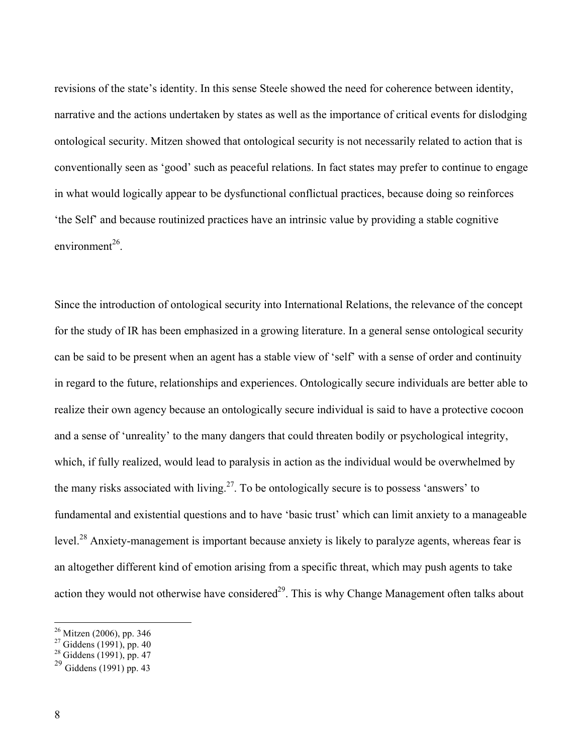revisions of the state's identity. In this sense Steele showed the need for coherence between identity, narrative and the actions undertaken by states as well as the importance of critical events for dislodging ontological security. Mitzen showed that ontological security is not necessarily related to action that is conventionally seen as 'good' such as peaceful relations. In fact states may prefer to continue to engage in what would logically appear to be dysfunctional conflictual practices, because doing so reinforces 'the Self' and because routinized practices have an intrinsic value by providing a stable cognitive environment<sup>26</sup>.

Since the introduction of ontological security into International Relations, the relevance of the concept for the study of IR has been emphasized in a growing literature. In a general sense ontological security can be said to be present when an agent has a stable view of 'self' with a sense of order and continuity in regard to the future, relationships and experiences. Ontologically secure individuals are better able to realize their own agency because an ontologically secure individual is said to have a protective cocoon and a sense of 'unreality' to the many dangers that could threaten bodily or psychological integrity, which, if fully realized, would lead to paralysis in action as the individual would be overwhelmed by the many risks associated with living.<sup>27</sup>. To be ontologically secure is to possess 'answers' to fundamental and existential questions and to have 'basic trust' which can limit anxiety to a manageable level.<sup>28</sup> Anxiety-management is important because anxiety is likely to paralyze agents, whereas fear is an altogether different kind of emotion arising from a specific threat, which may push agents to take action they would not otherwise have considered<sup>29</sup>. This is why Change Management often talks about

<sup>&</sup>lt;sup>26</sup> Mitzen (2006), pp. 346

 $27$  Giddens (1991), pp. 40

 $28$  Giddens (1991), pp. 47

 $^{29}$  Giddens (1991) pp. 43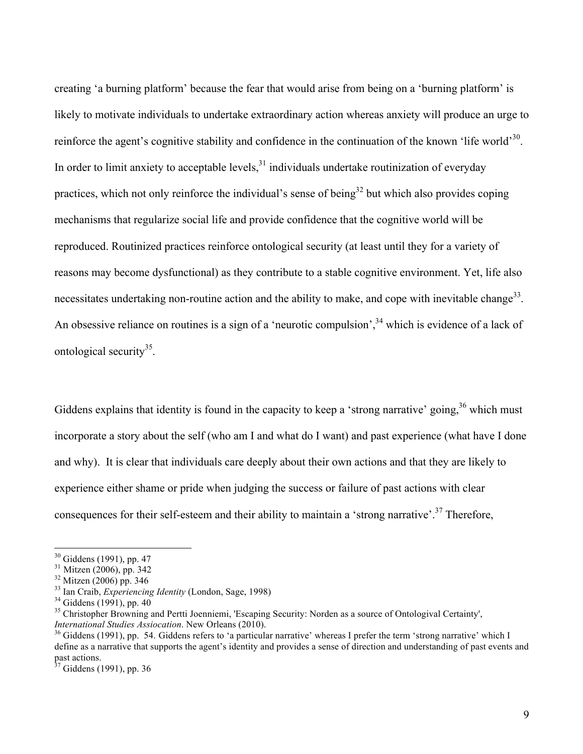creating 'a burning platform' because the fear that would arise from being on a 'burning platform' is likely to motivate individuals to undertake extraordinary action whereas anxiety will produce an urge to reinforce the agent's cognitive stability and confidence in the continuation of the known 'life world'<sup>30</sup>. In order to limit anxiety to acceptable levels,  $31$  individuals undertake routinization of everyday practices, which not only reinforce the individual's sense of being $32$  but which also provides coping mechanisms that regularize social life and provide confidence that the cognitive world will be reproduced. Routinized practices reinforce ontological security (at least until they for a variety of reasons may become dysfunctional) as they contribute to a stable cognitive environment. Yet, life also necessitates undertaking non-routine action and the ability to make, and cope with inevitable change<sup>33</sup>. An obsessive reliance on routines is a sign of a 'neurotic compulsion',<sup>34</sup> which is evidence of a lack of ontological security<sup>35</sup>.

Giddens explains that identity is found in the capacity to keep a 'strong narrative' going,  $36$  which must incorporate a story about the self (who am I and what do I want) and past experience (what have I done and why). It is clear that individuals care deeply about their own actions and that they are likely to experience either shame or pride when judging the success or failure of past actions with clear consequences for their self-esteem and their ability to maintain a 'strong narrative'.<sup>37</sup> Therefore,

 $30$  Giddens (1991), pp. 47

 $31$  Mitzen (2006), pp. 342

 $32$  Mitzen (2006) pp. 346

<sup>33</sup> Ian Craib, *Experiencing Identity* (London, Sage, 1998)

<sup>34</sup> Giddens (1991), pp. 40

<sup>&</sup>lt;sup>35</sup> Christopher Browning and Pertti Joenniemi, 'Escaping Security: Norden as a source of Ontologival Certainty', *International Studies Assiocation*. New Orleans (2010).

<sup>&</sup>lt;sup>36</sup> Giddens (1991), pp. 54. Giddens refers to 'a particular narrative' whereas I prefer the term 'strong narrative' which I define as a narrative that supports the agent's identity and provides a sense of direction and understanding of past events and past actions.

 $37$  Giddens (1991), pp. 36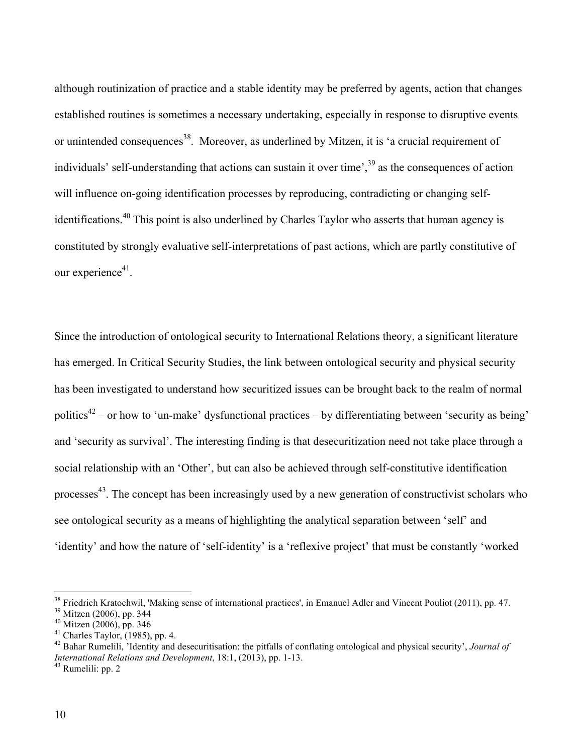although routinization of practice and a stable identity may be preferred by agents, action that changes established routines is sometimes a necessary undertaking, especially in response to disruptive events or unintended consequences<sup>38</sup>. Moreover, as underlined by Mitzen, it is 'a crucial requirement of individuals' self-understanding that actions can sustain it over time',<sup>39</sup> as the consequences of action will influence on-going identification processes by reproducing, contradicting or changing selfidentifications.<sup>40</sup> This point is also underlined by Charles Taylor who asserts that human agency is constituted by strongly evaluative self-interpretations of past actions, which are partly constitutive of our experience<sup>41</sup>.

Since the introduction of ontological security to International Relations theory, a significant literature has emerged. In Critical Security Studies, the link between ontological security and physical security has been investigated to understand how securitized issues can be brought back to the realm of normal politics<sup>42</sup> – or how to 'un-make' dysfunctional practices – by differentiating between 'security as being' and 'security as survival'. The interesting finding is that desecuritization need not take place through a social relationship with an 'Other', but can also be achieved through self-constitutive identification processes<sup>43</sup>. The concept has been increasingly used by a new generation of constructivist scholars who see ontological security as a means of highlighting the analytical separation between 'self' and 'identity' and how the nature of 'self-identity' is a 'reflexive project' that must be constantly 'worked

<sup>&</sup>lt;sup>38</sup> Friedrich Kratochwil, 'Making sense of international practices', in Emanuel Adler and Vincent Pouliot (2011), pp. 47.

<sup>39</sup> Mitzen (2006), pp. 344

<sup>40</sup> Mitzen (2006), pp. 346

 $41$  Charles Taylor,  $(1985)$ , pp. 4.

<sup>42</sup> Bahar Rumelili, 'Identity and desecuritisation: the pitfalls of conflating ontological and physical security', *Journal of International Relations and Development*, 18:1, (2013), pp. 1-13.

 $43$  Rumelili: pp. 2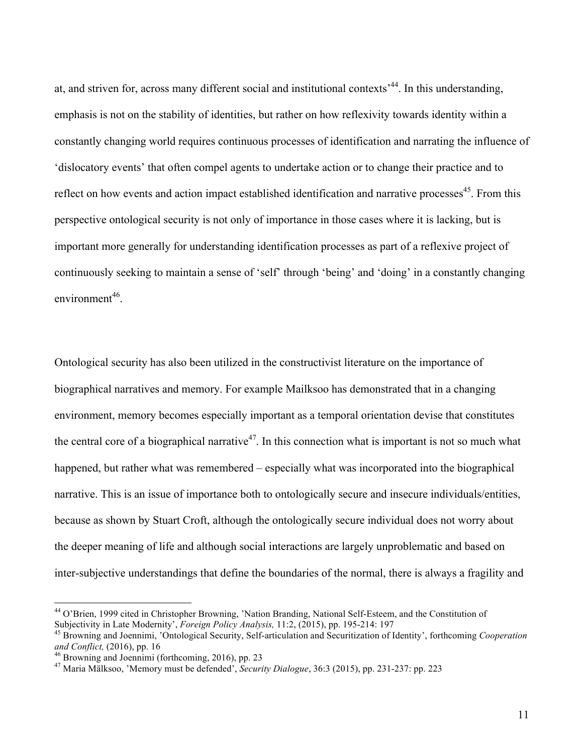at, and striven for, across many different social and institutional contexts<sup>-44</sup>. In this understanding, emphasis is not on the stability of identities, but rather on how reflexivity towards identity within a constantly changing world requires continuous processes of identification and narrating the influence of 'dislocatory events' that often compel agents to undertake action or to change their practice and to reflect on how events and action impact established identification and narrative processes<sup>45</sup>. From this perspective ontological security is not only of importance in those cases where it is lacking, but is important more generally for understanding identification processes as part of a reflexive project of continuously seeking to maintain a sense of 'self' through 'being' and 'doing' in a constantly changing  $environment<sup>46</sup>$ .

Ontological security has also been utilized in the constructivist literature on the importance of biographical narratives and memory. For example Mailksoo has demonstrated that in a changing environment, memory becomes especially important as a temporal orientation devise that constitutes the central core of a biographical narrative<sup>47</sup>. In this connection what is important is not so much what happened, but rather what was remembered – especially what was incorporated into the biographical narrative. This is an issue of importance both to ontologically secure and insecure individuals/entities, because as shown by Stuart Croft, although the ontologically secure individual does not worry about the deeper meaning of life and although social interactions are largely unproblematic and based on inter-subjective understandings that define the boundaries of the normal, there is always a fragility and

<sup>&</sup>lt;sup>44</sup> O'Brien, 1999 cited in Christopher Browning, 'Nation Branding, National Self-Esteem, and the Constitution of Subjectivity in Late Modernity', *Foreign Policy Analysis,* 11:2, (2015), pp. 195-214: 197

<sup>45</sup> Browning and Joennimi, 'Ontological Security, Self-articulation and Securitization of Identity', forthcoming *Cooperation and Conflict,* (2016), pp. 16

<sup>46</sup> Browning and Joennimi (forthcoming, 2016), pp. 23

<sup>47</sup> Maria Mälksoo, 'Memory must be defended', *Security Dialogue*, 36:3 (2015), pp. 231-237: pp. 223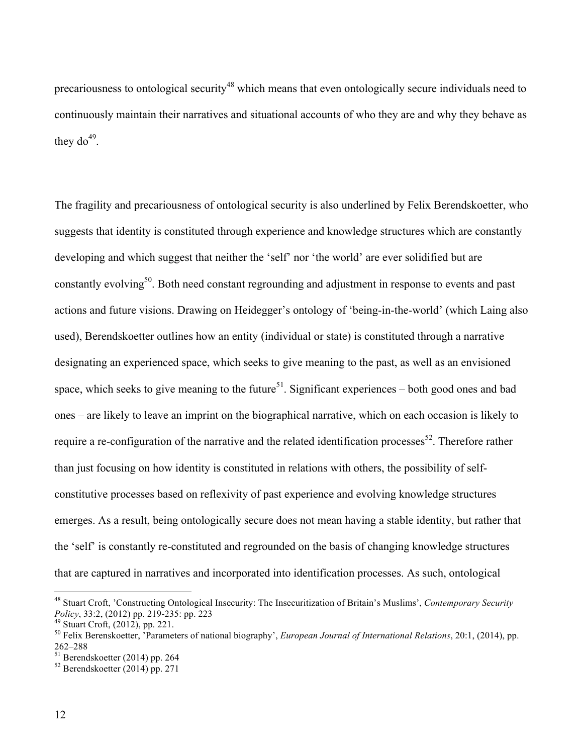precariousness to ontological security<sup>48</sup> which means that even ontologically secure individuals need to continuously maintain their narratives and situational accounts of who they are and why they behave as they  $do^{49}$ .

The fragility and precariousness of ontological security is also underlined by Felix Berendskoetter, who suggests that identity is constituted through experience and knowledge structures which are constantly developing and which suggest that neither the 'self' nor 'the world' are ever solidified but are constantly evolving<sup>50</sup>. Both need constant regrounding and adjustment in response to events and past actions and future visions. Drawing on Heidegger's ontology of 'being-in-the-world' (which Laing also used), Berendskoetter outlines how an entity (individual or state) is constituted through a narrative designating an experienced space, which seeks to give meaning to the past, as well as an envisioned space, which seeks to give meaning to the future<sup>51</sup>. Significant experiences – both good ones and bad ones – are likely to leave an imprint on the biographical narrative, which on each occasion is likely to require a re-configuration of the narrative and the related identification processes<sup>52</sup>. Therefore rather than just focusing on how identity is constituted in relations with others, the possibility of selfconstitutive processes based on reflexivity of past experience and evolving knowledge structures emerges. As a result, being ontologically secure does not mean having a stable identity, but rather that the 'self' is constantly re-constituted and regrounded on the basis of changing knowledge structures that are captured in narratives and incorporated into identification processes. As such, ontological

<sup>48</sup> Stuart Croft, 'Constructing Ontological Insecurity: The Insecuritization of Britain's Muslims', *Contemporary Security Policy*, 33:2, (2012) pp. 219-235: pp. 223

<sup>49</sup> Stuart Croft, (2012), pp. 221.

<sup>50</sup> Felix Berenskoetter, 'Parameters of national biography', *European Journal of International Relations*, 20:1, (2014), pp. 262–288

 $51$  Berendskoetter (2014) pp. 264

 $52$  Berendskoetter (2014) pp. 271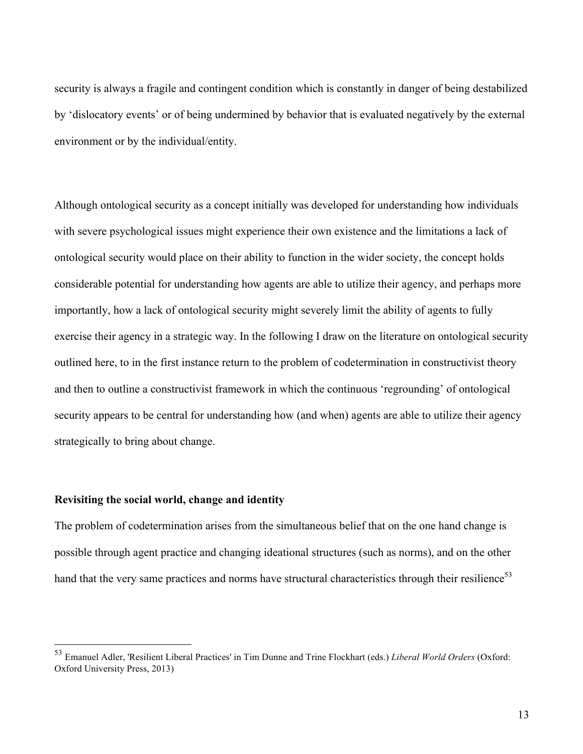security is always a fragile and contingent condition which is constantly in danger of being destabilized by 'dislocatory events' or of being undermined by behavior that is evaluated negatively by the external environment or by the individual/entity.

Although ontological security as a concept initially was developed for understanding how individuals with severe psychological issues might experience their own existence and the limitations a lack of ontological security would place on their ability to function in the wider society, the concept holds considerable potential for understanding how agents are able to utilize their agency, and perhaps more importantly, how a lack of ontological security might severely limit the ability of agents to fully exercise their agency in a strategic way. In the following I draw on the literature on ontological security outlined here, to in the first instance return to the problem of codetermination in constructivist theory and then to outline a constructivist framework in which the continuous 'regrounding' of ontological security appears to be central for understanding how (and when) agents are able to utilize their agency strategically to bring about change.

#### **Revisiting the social world, change and identity**

-

The problem of codetermination arises from the simultaneous belief that on the one hand change is possible through agent practice and changing ideational structures (such as norms), and on the other hand that the very same practices and norms have structural characteristics through their resilience<sup>53</sup>

<sup>53</sup> Emanuel Adler, 'Resilient Liberal Practices' in Tim Dunne and Trine Flockhart (eds.) *Liberal World Orders* (Oxford: Oxford University Press, 2013)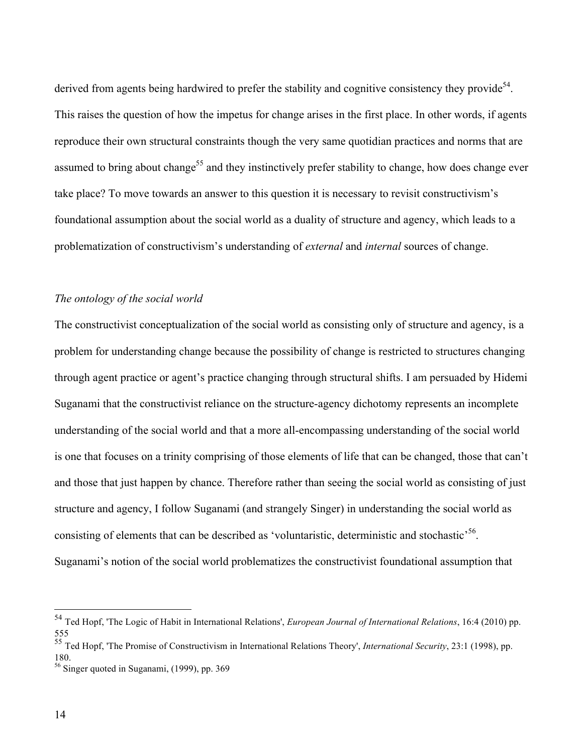derived from agents being hardwired to prefer the stability and cognitive consistency they provide<sup>54</sup>. This raises the question of how the impetus for change arises in the first place. In other words, if agents reproduce their own structural constraints though the very same quotidian practices and norms that are assumed to bring about change<sup>55</sup> and they instinctively prefer stability to change, how does change ever take place? To move towards an answer to this question it is necessary to revisit constructivism's foundational assumption about the social world as a duality of structure and agency, which leads to a problematization of constructivism's understanding of *external* and *internal* sources of change.

#### *The ontology of the social world*

The constructivist conceptualization of the social world as consisting only of structure and agency, is a problem for understanding change because the possibility of change is restricted to structures changing through agent practice or agent's practice changing through structural shifts. I am persuaded by Hidemi Suganami that the constructivist reliance on the structure-agency dichotomy represents an incomplete understanding of the social world and that a more all-encompassing understanding of the social world is one that focuses on a trinity comprising of those elements of life that can be changed, those that can't and those that just happen by chance. Therefore rather than seeing the social world as consisting of just structure and agency, I follow Suganami (and strangely Singer) in understanding the social world as consisting of elements that can be described as 'voluntaristic, deterministic and stochastic'<sup>56</sup>. Suganami's notion of the social world problematizes the constructivist foundational assumption that

<u>.</u>

<sup>54</sup> Ted Hopf, 'The Logic of Habit in International Relations', *European Journal of International Relations*, 16:4 (2010) pp. 555

<sup>55</sup> Ted Hopf, 'The Promise of Constructivism in International Relations Theory', *International Security*, 23:1 (1998), pp. 180.

<sup>56</sup> Singer quoted in Suganami, (1999), pp. 369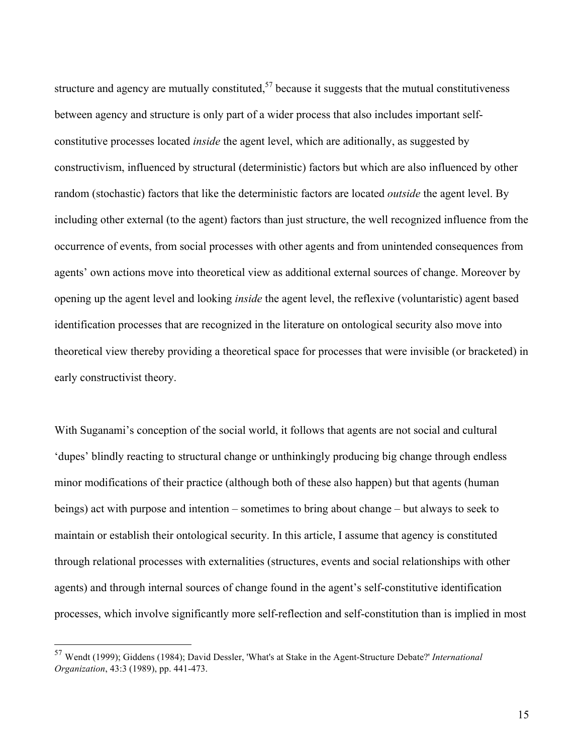structure and agency are mutually constituted,<sup>57</sup> because it suggests that the mutual constitutiveness between agency and structure is only part of a wider process that also includes important selfconstitutive processes located *inside* the agent level, which are aditionally, as suggested by constructivism, influenced by structural (deterministic) factors but which are also influenced by other random (stochastic) factors that like the deterministic factors are located *outside* the agent level. By including other external (to the agent) factors than just structure, the well recognized influence from the occurrence of events, from social processes with other agents and from unintended consequences from agents' own actions move into theoretical view as additional external sources of change. Moreover by opening up the agent level and looking *inside* the agent level, the reflexive (voluntaristic) agent based identification processes that are recognized in the literature on ontological security also move into theoretical view thereby providing a theoretical space for processes that were invisible (or bracketed) in early constructivist theory.

With Suganami's conception of the social world, it follows that agents are not social and cultural 'dupes' blindly reacting to structural change or unthinkingly producing big change through endless minor modifications of their practice (although both of these also happen) but that agents (human beings) act with purpose and intention – sometimes to bring about change – but always to seek to maintain or establish their ontological security. In this article, I assume that agency is constituted through relational processes with externalities (structures, events and social relationships with other agents) and through internal sources of change found in the agent's self-constitutive identification processes, which involve significantly more self-reflection and self-constitution than is implied in most

<sup>57</sup> Wendt (1999); Giddens (1984); David Dessler, 'What's at Stake in the Agent-Structure Debate?' *International Organization*, 43:3 (1989), pp. 441-473.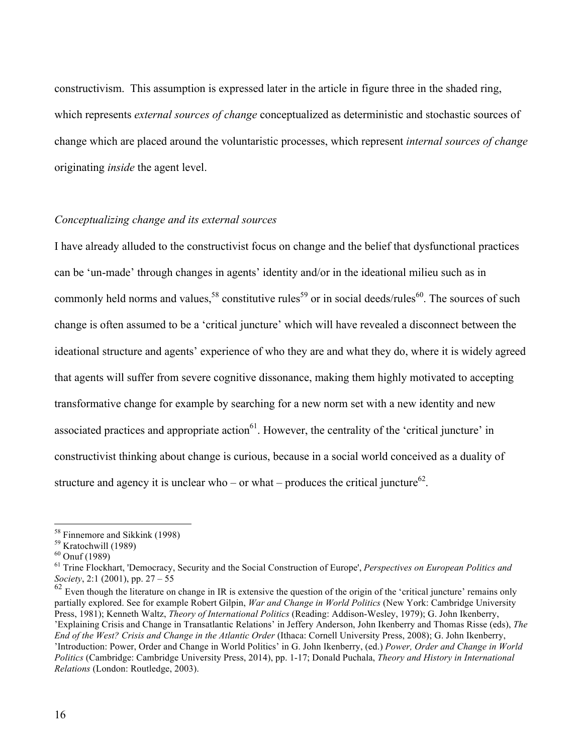constructivism. This assumption is expressed later in the article in figure three in the shaded ring, which represents *external sources of change* conceptualized as deterministic and stochastic sources of change which are placed around the voluntaristic processes, which represent *internal sources of change* originating *inside* the agent level.

#### *Conceptualizing change and its external sources*

I have already alluded to the constructivist focus on change and the belief that dysfunctional practices can be 'un-made' through changes in agents' identity and/or in the ideational milieu such as in commonly held norms and values,<sup>58</sup> constitutive rules<sup>59</sup> or in social deeds/rules<sup>60</sup>. The sources of such change is often assumed to be a 'critical juncture' which will have revealed a disconnect between the ideational structure and agents' experience of who they are and what they do, where it is widely agreed that agents will suffer from severe cognitive dissonance, making them highly motivated to accepting transformative change for example by searching for a new norm set with a new identity and new associated practices and appropriate action $^{61}$ . However, the centrality of the 'critical juncture' in constructivist thinking about change is curious, because in a social world conceived as a duality of structure and agency it is unclear who – or what – produces the critical juncture<sup>62</sup>.

<sup>&</sup>lt;sup>58</sup> Finnemore and Sikkink (1998)

<sup>59</sup> Kratochwill (1989)

 $60$  Onuf (1989)

<sup>61</sup> Trine Flockhart, 'Democracy, Security and the Social Construction of Europe', *Perspectives on European Politics and Society*, 2:1 (2001), pp. 27 – 55

 $\frac{62}{2}$  Even though the literature on change in IR is extensive the question of the origin of the 'critical juncture' remains only partially explored. See for example Robert Gilpin, *War and Change in World Politics* (New York: Cambridge University Press, 1981); Kenneth Waltz, *Theory of International Politics* (Reading: Addison-Wesley, 1979); G. John Ikenberry, 'Explaining Crisis and Change in Transatlantic Relations' in Jeffery Anderson, John Ikenberry and Thomas Risse (eds), *The End of the West? Crisis and Change in the Atlantic Order* (Ithaca: Cornell University Press, 2008); G. John Ikenberry, 'Introduction: Power, Order and Change in World Politics' in G. John Ikenberry, (ed.) *Power, Order and Change in World Politics* (Cambridge: Cambridge University Press, 2014), pp. 1-17; Donald Puchala, *Theory and History in International Relations* (London: Routledge, 2003).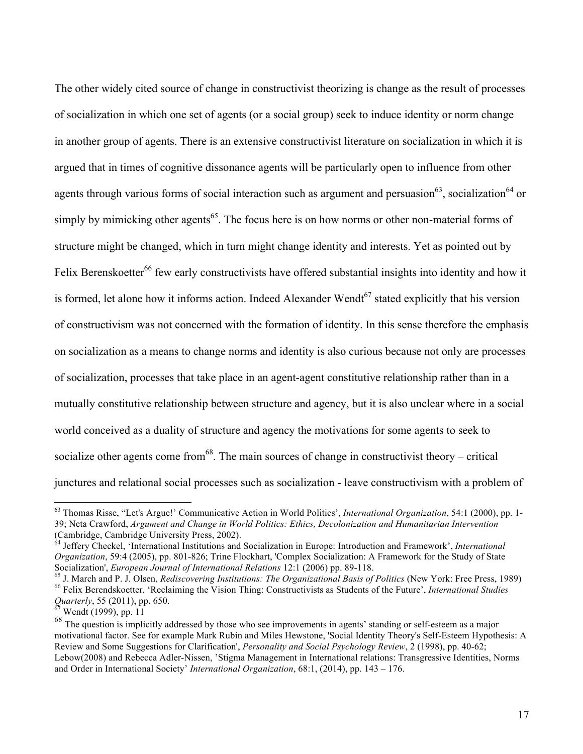The other widely cited source of change in constructivist theorizing is change as the result of processes of socialization in which one set of agents (or a social group) seek to induce identity or norm change in another group of agents. There is an extensive constructivist literature on socialization in which it is argued that in times of cognitive dissonance agents will be particularly open to influence from other agents through various forms of social interaction such as argument and persuasion<sup>63</sup>, socialization<sup>64</sup> or simply by mimicking other agents<sup>65</sup>. The focus here is on how norms or other non-material forms of structure might be changed, which in turn might change identity and interests. Yet as pointed out by Felix Berenskoetter<sup>66</sup> few early constructivists have offered substantial insights into identity and how it is formed, let alone how it informs action. Indeed Alexander Wendt $67$  stated explicitly that his version of constructivism was not concerned with the formation of identity. In this sense therefore the emphasis on socialization as a means to change norms and identity is also curious because not only are processes of socialization, processes that take place in an agent-agent constitutive relationship rather than in a mutually constitutive relationship between structure and agency, but it is also unclear where in a social world conceived as a duality of structure and agency the motivations for some agents to seek to socialize other agents come from<sup>68</sup>. The main sources of change in constructivist theory – critical junctures and relational social processes such as socialization - leave constructivism with a problem of

<u>.</u>

<sup>63</sup> Thomas Risse, "Let's Argue!' Communicative Action in World Politics', *International Organization*, 54:1 (2000), pp. 1- 39; Neta Crawford, *Argument and Change in World Politics: Ethics, Decolonization and Humanitarian Intervention* (Cambridge, Cambridge University Press, 2002).

<sup>64</sup> Jeffery Checkel, 'International Institutions and Socialization in Europe: Introduction and Framework', *International Organization*, 59:4 (2005), pp. 801-826; Trine Flockhart, 'Complex Socialization: A Framework for the Study of State Socialization', *European Journal of International Relations* 12:1 (2006) pp. 89-118.

<sup>65</sup> J. March and P. J. Olsen, *Rediscovering Institutions: The Organizational Basis of Politics* (New York: Free Press, 1989) <sup>66</sup> Felix Berendskoetter, 'Reclaiming the Vision Thing: Constructivists as Students of the Future', *International Studies Quarterly*, 55 (2011), pp. 650.

 $67$  Wendt (1999), pp. 11

<sup>&</sup>lt;sup>68</sup> The question is implicitly addressed by those who see improvements in agents' standing or self-esteem as a major motivational factor. See for example Mark Rubin and Miles Hewstone, 'Social Identity Theory's Self-Esteem Hypothesis: A Review and Some Suggestions for Clarification', *Personality and Social Psychology Review*, 2 (1998), pp. 40-62; Lebow(2008) and Rebecca Adler-Nissen, 'Stigma Management in International relations: Transgressive Identities, Norms and Order in International Society' *International Organization*, 68:1, (2014), pp. 143 – 176.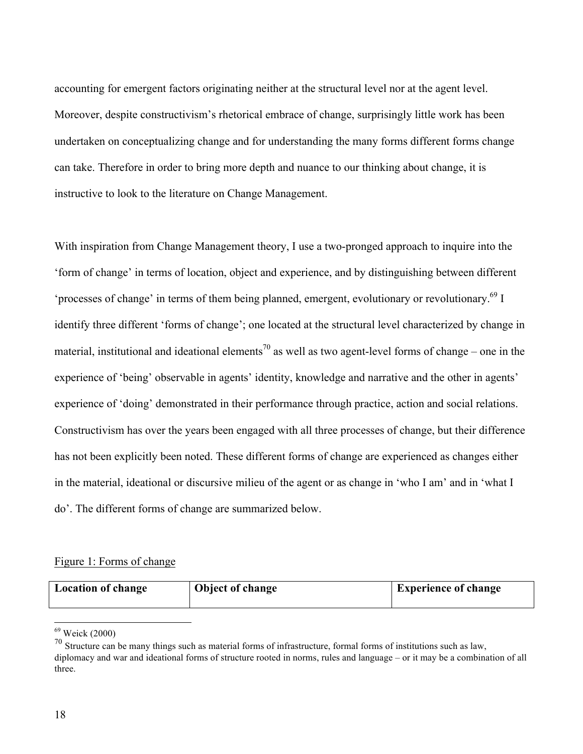accounting for emergent factors originating neither at the structural level nor at the agent level. Moreover, despite constructivism's rhetorical embrace of change, surprisingly little work has been undertaken on conceptualizing change and for understanding the many forms different forms change can take. Therefore in order to bring more depth and nuance to our thinking about change, it is instructive to look to the literature on Change Management.

With inspiration from Change Management theory, I use a two-pronged approach to inquire into the 'form of change' in terms of location, object and experience, and by distinguishing between different 'processes of change' in terms of them being planned, emergent, evolutionary or revolutionary.<sup>69</sup> I identify three different 'forms of change'; one located at the structural level characterized by change in material, institutional and ideational elements<sup>70</sup> as well as two agent-level forms of change – one in the experience of 'being' observable in agents' identity, knowledge and narrative and the other in agents' experience of 'doing' demonstrated in their performance through practice, action and social relations. Constructivism has over the years been engaged with all three processes of change, but their difference has not been explicitly been noted. These different forms of change are experienced as changes either in the material, ideational or discursive milieu of the agent or as change in 'who I am' and in 'what I do'. The different forms of change are summarized below.

#### Figure 1: Forms of change

| <b>Location of change</b> | <b>Object of change</b> | <b>Experience of change</b> |
|---------------------------|-------------------------|-----------------------------|
|                           |                         |                             |

-<sup>69</sup> Weick (2000)

 $70$  Structure can be many things such as material forms of infrastructure, formal forms of institutions such as law, diplomacy and war and ideational forms of structure rooted in norms, rules and language – or it may be a combination of all three.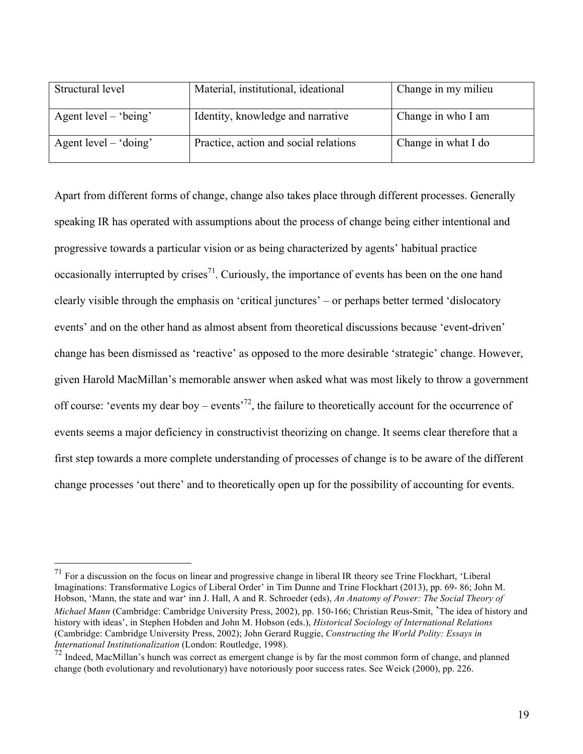| Structural level        | Material, institutional, ideational   | Change in my milieu |
|-------------------------|---------------------------------------|---------------------|
| Agent level – 'being'   | Identity, knowledge and narrative     | Change in who I am  |
| Agent level $-$ 'doing' | Practice, action and social relations | Change in what I do |

Apart from different forms of change, change also takes place through different processes. Generally speaking IR has operated with assumptions about the process of change being either intentional and progressive towards a particular vision or as being characterized by agents' habitual practice occasionally interrupted by crises<sup>71</sup>. Curiously, the importance of events has been on the one hand clearly visible through the emphasis on 'critical junctures' – or perhaps better termed 'dislocatory events' and on the other hand as almost absent from theoretical discussions because 'event-driven' change has been dismissed as 'reactive' as opposed to the more desirable 'strategic' change. However, given Harold MacMillan's memorable answer when asked what was most likely to throw a government off course: 'events my dear boy – events'<sup>72</sup>, the failure to theoretically account for the occurrence of events seems a major deficiency in constructivist theorizing on change. It seems clear therefore that a first step towards a more complete understanding of processes of change is to be aware of the different change processes 'out there' and to theoretically open up for the possibility of accounting for events.

 $71$  For a discussion on the focus on linear and progressive change in liberal IR theory see Trine Flockhart, 'Liberal Imaginations: Transformative Logics of Liberal Order' in Tim Dunne and Trine Flockhart (2013), pp. 69- 86; John M. Hobson, 'Mann, the state and war' inn J. Hall, A and R. Schroeder (eds), *An Anatomy of Power: The Social Theory of Michael Mann* (Cambridge: Cambridge University Press, 2002), pp. 150-166; Christian Reus-Smit, 'The idea of history and history with ideas', in Stephen Hobden and John M. Hobson (eds.), *Historical Sociology of International Relations* (Cambridge: Cambridge University Press, 2002); John Gerard Ruggie, *Constructing the World Polity: Essays in International Institutionalization* (London: Routledge, 1998).

 $72$  Indeed, MacMillan's hunch was correct as emergent change is by far the most common form of change, and planned change (both evolutionary and revolutionary) have notoriously poor success rates. See Weick (2000), pp. 226.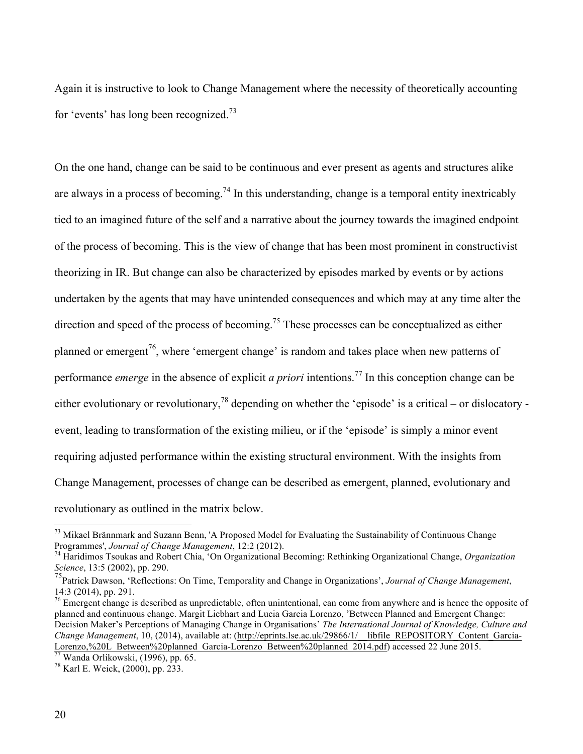Again it is instructive to look to Change Management where the necessity of theoretically accounting for 'events' has long been recognized.<sup>73</sup>

On the one hand, change can be said to be continuous and ever present as agents and structures alike are always in a process of becoming.<sup>74</sup> In this understanding, change is a temporal entity inextricably tied to an imagined future of the self and a narrative about the journey towards the imagined endpoint of the process of becoming. This is the view of change that has been most prominent in constructivist theorizing in IR. But change can also be characterized by episodes marked by events or by actions undertaken by the agents that may have unintended consequences and which may at any time alter the direction and speed of the process of becoming.<sup>75</sup> These processes can be conceptualized as either planned or emergent<sup>76</sup>, where 'emergent change' is random and takes place when new patterns of performance *emerge* in the absence of explicit *a priori* intentions. <sup>77</sup> In this conception change can be either evolutionary or revolutionary,<sup>78</sup> depending on whether the 'episode' is a critical – or dislocatory event, leading to transformation of the existing milieu, or if the 'episode' is simply a minor event requiring adjusted performance within the existing structural environment. With the insights from Change Management, processes of change can be described as emergent, planned, evolutionary and revolutionary as outlined in the matrix below.

<sup>&</sup>lt;sup>73</sup> Mikael Brännmark and Suzann Benn, 'A Proposed Model for Evaluating the Sustainability of Continuous Change Programmes', *Journal of Change Management*, 12:2 (2012).

<sup>74</sup> Haridimos Tsoukas and Robert Chia, 'On Organizational Becoming: Rethinking Organizational Change, *Organization Science*, 13:5 (2002), pp. 290.

<sup>75</sup>Patrick Dawson, 'Reflections: On Time, Temporality and Change in Organizations', *Journal of Change Management*, 14:3 (2014), pp. 291.

 $76$  Emergent change is described as unpredictable, often unintentional, can come from anywhere and is hence the opposite of planned and continuous change. Margit Liebhart and Lucia Garcia Lorenzo, 'Between Planned and Emergent Change: Decision Maker's Perceptions of Managing Change in Organisations' *The International Journal of Knowledge, Culture and Change Management*, 10, (2014), available at: (http://eprints.lse.ac.uk/29866/1/\_\_libfile\_REPOSITORY\_Content\_Garcia-Lorenzo,%20L\_Between%20planned\_Garcia-Lorenzo\_Between%20planned\_2014.pdf) accessed 22 June 2015.

 $\frac{77}{77}$  Wanda Orlikowski, (1996), pp. 65.

<sup>78</sup> Karl E. Weick, (2000), pp. 233.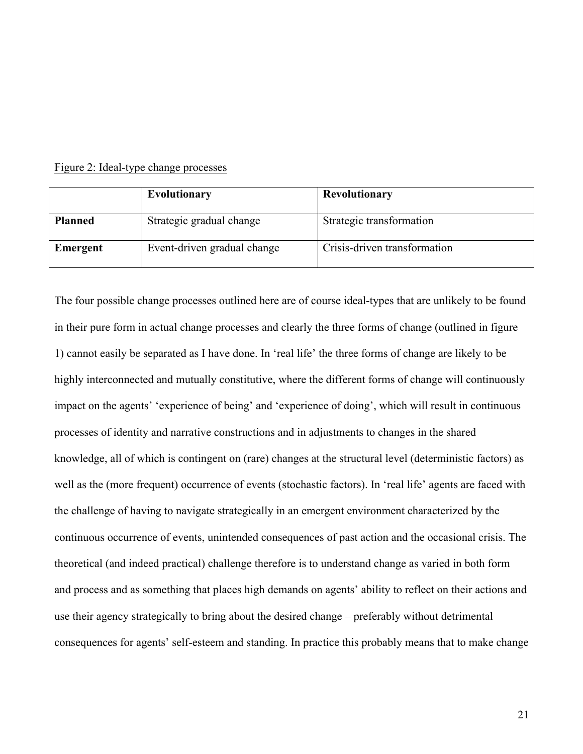|                | <b>Evolutionary</b>         | Revolutionary                |
|----------------|-----------------------------|------------------------------|
| <b>Planned</b> | Strategic gradual change    | Strategic transformation     |
| Emergent       | Event-driven gradual change | Crisis-driven transformation |

Figure 2: Ideal-type change processes

The four possible change processes outlined here are of course ideal-types that are unlikely to be found in their pure form in actual change processes and clearly the three forms of change (outlined in figure 1) cannot easily be separated as I have done. In 'real life' the three forms of change are likely to be highly interconnected and mutually constitutive, where the different forms of change will continuously impact on the agents' 'experience of being' and 'experience of doing', which will result in continuous processes of identity and narrative constructions and in adjustments to changes in the shared knowledge, all of which is contingent on (rare) changes at the structural level (deterministic factors) as well as the (more frequent) occurrence of events (stochastic factors). In 'real life' agents are faced with the challenge of having to navigate strategically in an emergent environment characterized by the continuous occurrence of events, unintended consequences of past action and the occasional crisis. The theoretical (and indeed practical) challenge therefore is to understand change as varied in both form and process and as something that places high demands on agents' ability to reflect on their actions and use their agency strategically to bring about the desired change – preferably without detrimental consequences for agents' self-esteem and standing. In practice this probably means that to make change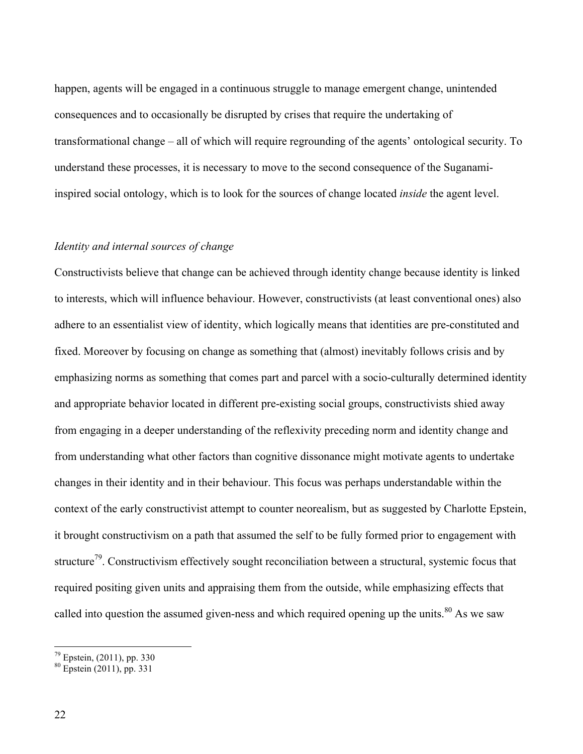happen, agents will be engaged in a continuous struggle to manage emergent change, unintended consequences and to occasionally be disrupted by crises that require the undertaking of transformational change – all of which will require regrounding of the agents' ontological security. To understand these processes, it is necessary to move to the second consequence of the Suganamiinspired social ontology, which is to look for the sources of change located *inside* the agent level.

#### *Identity and internal sources of change*

Constructivists believe that change can be achieved through identity change because identity is linked to interests, which will influence behaviour. However, constructivists (at least conventional ones) also adhere to an essentialist view of identity, which logically means that identities are pre-constituted and fixed. Moreover by focusing on change as something that (almost) inevitably follows crisis and by emphasizing norms as something that comes part and parcel with a socio-culturally determined identity and appropriate behavior located in different pre-existing social groups, constructivists shied away from engaging in a deeper understanding of the reflexivity preceding norm and identity change and from understanding what other factors than cognitive dissonance might motivate agents to undertake changes in their identity and in their behaviour. This focus was perhaps understandable within the context of the early constructivist attempt to counter neorealism, but as suggested by Charlotte Epstein, it brought constructivism on a path that assumed the self to be fully formed prior to engagement with structure<sup>79</sup>. Constructivism effectively sought reconciliation between a structural, systemic focus that required positing given units and appraising them from the outside, while emphasizing effects that called into question the assumed given-ness and which required opening up the units.<sup>80</sup> As we saw

 $79$  Epstein, (2011), pp. 330

 $80 \text{ Epsilonin} (2011), \text{pp. } 331$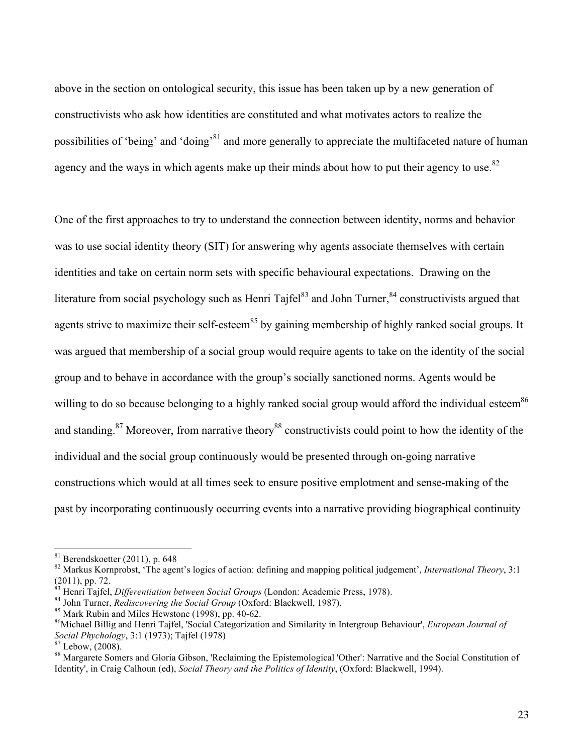above in the section on ontological security, this issue has been taken up by a new generation of constructivists who ask how identities are constituted and what motivates actors to realize the possibilities of 'being' and 'doing'<sup>81</sup> and more generally to appreciate the multifaceted nature of human agency and the ways in which agents make up their minds about how to put their agency to use.<sup>82</sup>

One of the first approaches to try to understand the connection between identity, norms and behavior was to use social identity theory (SIT) for answering why agents associate themselves with certain identities and take on certain norm sets with specific behavioural expectations. Drawing on the literature from social psychology such as Henri Tajfel $^{83}$  and John Turner, $^{84}$  constructivists argued that agents strive to maximize their self-esteem<sup>85</sup> by gaining membership of highly ranked social groups. It was argued that membership of a social group would require agents to take on the identity of the social group and to behave in accordance with the group's socially sanctioned norms. Agents would be willing to do so because belonging to a highly ranked social group would afford the individual esteem<sup>86</sup> and standing.<sup>87</sup> Moreover, from narrative theory<sup>88</sup> constructivists could point to how the identity of the individual and the social group continuously would be presented through on-going narrative constructions which would at all times seek to ensure positive emplotment and sense-making of the past by incorporating continuously occurring events into a narrative providing biographical continuity

 $81$  Berendskoetter (2011), p. 648

<sup>82</sup> Markus Kornprobst, 'The agent's logics of action: defining and mapping political judgement', *International Theory*, 3:1 (2011), pp. 72.

<sup>83</sup> Henri Tajfel, *Differentiation between Social Groups* (London: Academic Press, 1978).

<sup>84</sup> John Turner, *Rediscovering the Social Group* (Oxford: Blackwell, 1987).

<sup>85</sup> Mark Rubin and Miles Hewstone (1998), pp. 40-62.

<sup>86</sup>Michael Billig and Henri Tajfel, 'Social Categorization and Similarity in Intergroup Behaviour', *European Journal of Social Phychology*, 3:1 (1973); Tajfel (1978)

 $87$  Lebow,  $(2008)$ .

<sup>88</sup> Margarete Somers and Gloria Gibson, 'Reclaiming the Epistemological 'Other': Narrative and the Social Constitution of Identity', in Craig Calhoun (ed), *Social Theory and the Politics of Identity*, (Oxford: Blackwell, 1994).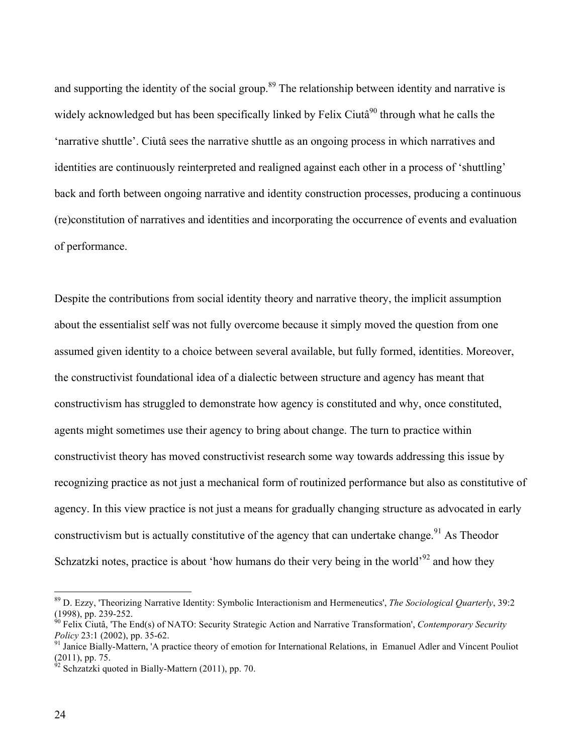and supporting the identity of the social group.<sup>89</sup> The relationship between identity and narrative is widely acknowledged but has been specifically linked by Felix Ciut $\hat{a}^{90}$  through what he calls the 'narrative shuttle'. Ciutâ sees the narrative shuttle as an ongoing process in which narratives and identities are continuously reinterpreted and realigned against each other in a process of 'shuttling' back and forth between ongoing narrative and identity construction processes, producing a continuous (re)constitution of narratives and identities and incorporating the occurrence of events and evaluation of performance.

Despite the contributions from social identity theory and narrative theory, the implicit assumption about the essentialist self was not fully overcome because it simply moved the question from one assumed given identity to a choice between several available, but fully formed, identities. Moreover, the constructivist foundational idea of a dialectic between structure and agency has meant that constructivism has struggled to demonstrate how agency is constituted and why, once constituted, agents might sometimes use their agency to bring about change. The turn to practice within constructivist theory has moved constructivist research some way towards addressing this issue by recognizing practice as not just a mechanical form of routinized performance but also as constitutive of agency. In this view practice is not just a means for gradually changing structure as advocated in early constructivism but is actually constitutive of the agency that can undertake change.<sup>91</sup> As Theodor Schzatzki notes, practice is about 'how humans do their very being in the world'<sup>92</sup> and how they

<sup>89</sup> D. Ezzy, 'Theorizing Narrative Identity: Symbolic Interactionism and Hermeneutics', *The Sociological Quarterly*, 39:2 (1998), pp. 239-252.

<sup>90</sup> Felix Ciutâ, 'The End(s) of NATO: Security Strategic Action and Narrative Transformation', *Contemporary Security Policy* 23:1 (2002), pp. 35-62.

<sup>&</sup>lt;sup>91</sup> Janice Bially-Mattern, 'A practice theory of emotion for International Relations, in Emanuel Adler and Vincent Pouliot (2011), pp. 75.

 $92$  Schzatzki quoted in Bially-Mattern (2011), pp. 70.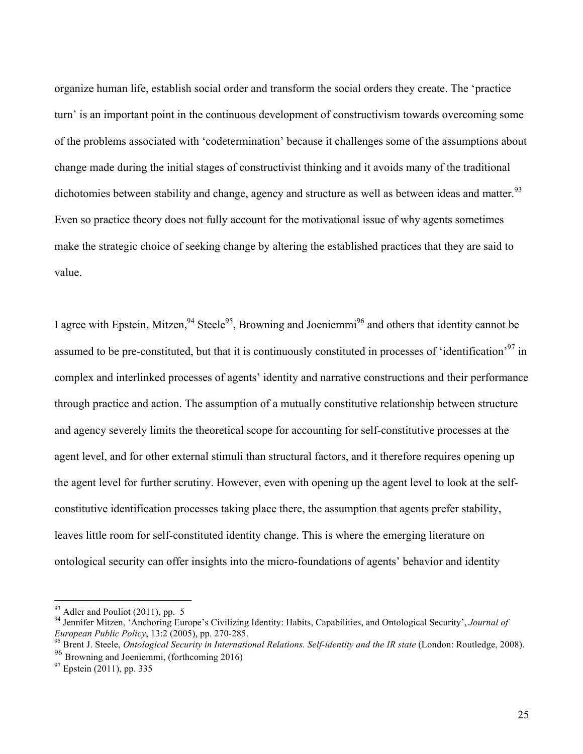organize human life, establish social order and transform the social orders they create. The 'practice turn' is an important point in the continuous development of constructivism towards overcoming some of the problems associated with 'codetermination' because it challenges some of the assumptions about change made during the initial stages of constructivist thinking and it avoids many of the traditional dichotomies between stability and change, agency and structure as well as between ideas and matter.<sup>93</sup> Even so practice theory does not fully account for the motivational issue of why agents sometimes make the strategic choice of seeking change by altering the established practices that they are said to value.

I agree with Epstein, Mitzen,  $94$  Steele<sup>95</sup>, Browning and Joeniemmi<sup>96</sup> and others that identity cannot be assumed to be pre-constituted, but that it is continuously constituted in processes of 'identification'<sup>97</sup> in complex and interlinked processes of agents' identity and narrative constructions and their performance through practice and action. The assumption of a mutually constitutive relationship between structure and agency severely limits the theoretical scope for accounting for self-constitutive processes at the agent level, and for other external stimuli than structural factors, and it therefore requires opening up the agent level for further scrutiny. However, even with opening up the agent level to look at the selfconstitutive identification processes taking place there, the assumption that agents prefer stability, leaves little room for self-constituted identity change. This is where the emerging literature on ontological security can offer insights into the micro-foundations of agents' behavior and identity

 $93$  Adler and Pouliot (2011), pp. 5

<sup>94</sup> Jennifer Mitzen, 'Anchoring Europe's Civilizing Identity: Habits, Capabilities, and Ontological Security', *Journal of European Public Policy*, 13:2 (2005), pp. 270-285.

<sup>95</sup> Brent J. Steele, *Ontological Security in International Relations. Self-identity and the IR state* (London: Routledge, 2008).

<sup>96</sup> Browning and Joeniemmi, (forthcoming 2016)

 $97$  Epstein (2011), pp. 335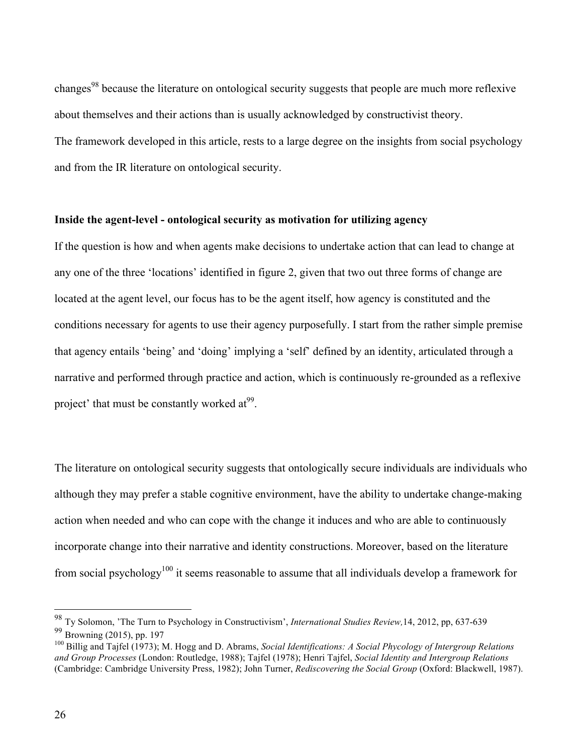changes<sup>98</sup> because the literature on ontological security suggests that people are much more reflexive about themselves and their actions than is usually acknowledged by constructivist theory. The framework developed in this article, rests to a large degree on the insights from social psychology and from the IR literature on ontological security.

#### **Inside the agent-level - ontological security as motivation for utilizing agency**

If the question is how and when agents make decisions to undertake action that can lead to change at any one of the three 'locations' identified in figure 2, given that two out three forms of change are located at the agent level, our focus has to be the agent itself, how agency is constituted and the conditions necessary for agents to use their agency purposefully. I start from the rather simple premise that agency entails 'being' and 'doing' implying a 'self' defined by an identity, articulated through a narrative and performed through practice and action, which is continuously re-grounded as a reflexive project' that must be constantly worked at<sup>99</sup>.

The literature on ontological security suggests that ontologically secure individuals are individuals who although they may prefer a stable cognitive environment, have the ability to undertake change-making action when needed and who can cope with the change it induces and who are able to continuously incorporate change into their narrative and identity constructions. Moreover, based on the literature from social psychology<sup>100</sup> it seems reasonable to assume that all individuals develop a framework for

<u>.</u>

<sup>98</sup> Ty Solomon, 'The Turn to Psychology in Constructivism', *International Studies Review,*14, 2012, pp, 637-639 <sup>99</sup> Browning (2015), pp. 197

<sup>100</sup> Billig and Tajfel (1973); M. Hogg and D. Abrams, *Social Identifications: A Social Phycology of Intergroup Relations and Group Processes* (London: Routledge, 1988); Tajfel (1978); Henri Tajfel, *Social Identity and Intergroup Relations* (Cambridge: Cambridge University Press, 1982); John Turner, *Rediscovering the Social Group* (Oxford: Blackwell, 1987).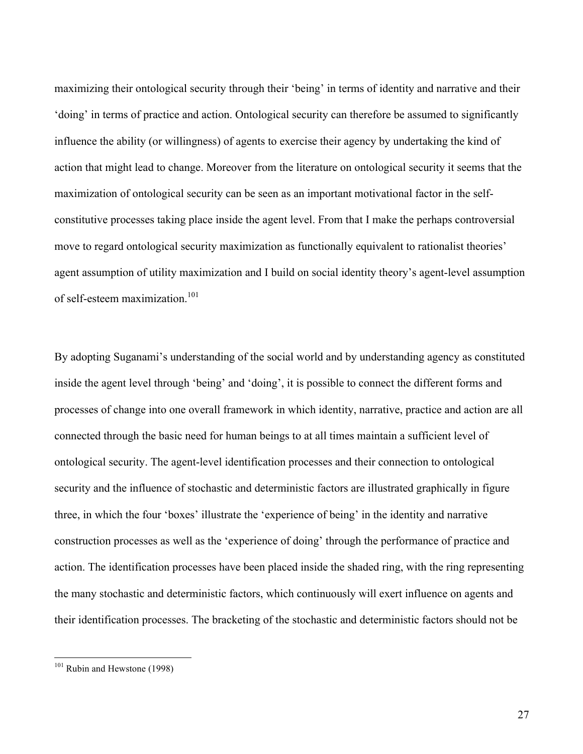maximizing their ontological security through their 'being' in terms of identity and narrative and their 'doing' in terms of practice and action. Ontological security can therefore be assumed to significantly influence the ability (or willingness) of agents to exercise their agency by undertaking the kind of action that might lead to change. Moreover from the literature on ontological security it seems that the maximization of ontological security can be seen as an important motivational factor in the selfconstitutive processes taking place inside the agent level. From that I make the perhaps controversial move to regard ontological security maximization as functionally equivalent to rationalist theories' agent assumption of utility maximization and I build on social identity theory's agent-level assumption of self-esteem maximization.<sup>101</sup>

By adopting Suganami's understanding of the social world and by understanding agency as constituted inside the agent level through 'being' and 'doing', it is possible to connect the different forms and processes of change into one overall framework in which identity, narrative, practice and action are all connected through the basic need for human beings to at all times maintain a sufficient level of ontological security. The agent-level identification processes and their connection to ontological security and the influence of stochastic and deterministic factors are illustrated graphically in figure three, in which the four 'boxes' illustrate the 'experience of being' in the identity and narrative construction processes as well as the 'experience of doing' through the performance of practice and action. The identification processes have been placed inside the shaded ring, with the ring representing the many stochastic and deterministic factors, which continuously will exert influence on agents and their identification processes. The bracketing of the stochastic and deterministic factors should not be

 $101$  Rubin and Hewstone (1998)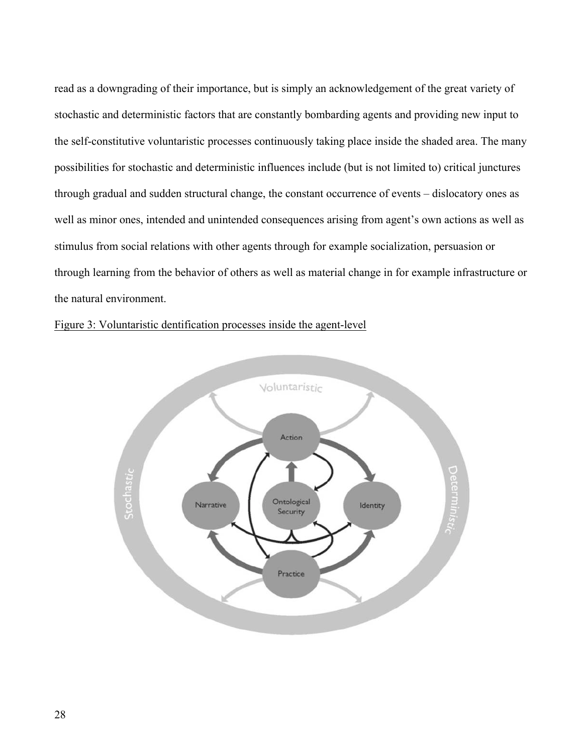read as a downgrading of their importance, but is simply an acknowledgement of the great variety of stochastic and deterministic factors that are constantly bombarding agents and providing new input to the self-constitutive voluntaristic processes continuously taking place inside the shaded area. The many possibilities for stochastic and deterministic influences include (but is not limited to) critical junctures through gradual and sudden structural change, the constant occurrence of events – dislocatory ones as well as minor ones, intended and unintended consequences arising from agent's own actions as well as stimulus from social relations with other agents through for example socialization, persuasion or through learning from the behavior of others as well as material change in for example infrastructure or the natural environment.



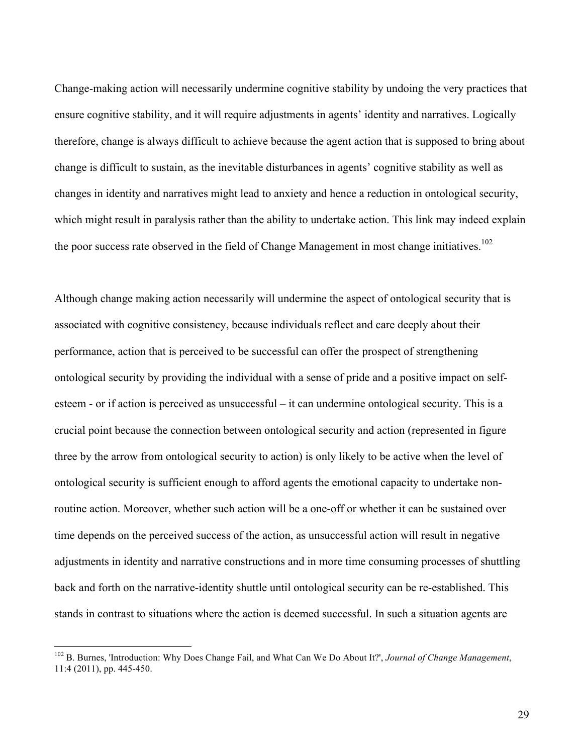Change-making action will necessarily undermine cognitive stability by undoing the very practices that ensure cognitive stability, and it will require adjustments in agents' identity and narratives. Logically therefore, change is always difficult to achieve because the agent action that is supposed to bring about change is difficult to sustain, as the inevitable disturbances in agents' cognitive stability as well as changes in identity and narratives might lead to anxiety and hence a reduction in ontological security, which might result in paralysis rather than the ability to undertake action. This link may indeed explain the poor success rate observed in the field of Change Management in most change initiatives.<sup>102</sup>

Although change making action necessarily will undermine the aspect of ontological security that is associated with cognitive consistency, because individuals reflect and care deeply about their performance, action that is perceived to be successful can offer the prospect of strengthening ontological security by providing the individual with a sense of pride and a positive impact on selfesteem - or if action is perceived as unsuccessful – it can undermine ontological security. This is a crucial point because the connection between ontological security and action (represented in figure three by the arrow from ontological security to action) is only likely to be active when the level of ontological security is sufficient enough to afford agents the emotional capacity to undertake nonroutine action. Moreover, whether such action will be a one-off or whether it can be sustained over time depends on the perceived success of the action, as unsuccessful action will result in negative adjustments in identity and narrative constructions and in more time consuming processes of shuttling back and forth on the narrative-identity shuttle until ontological security can be re-established. This stands in contrast to situations where the action is deemed successful. In such a situation agents are

<sup>102</sup> B. Burnes, 'Introduction: Why Does Change Fail, and What Can We Do About It?', *Journal of Change Management*, 11:4 (2011), pp. 445-450.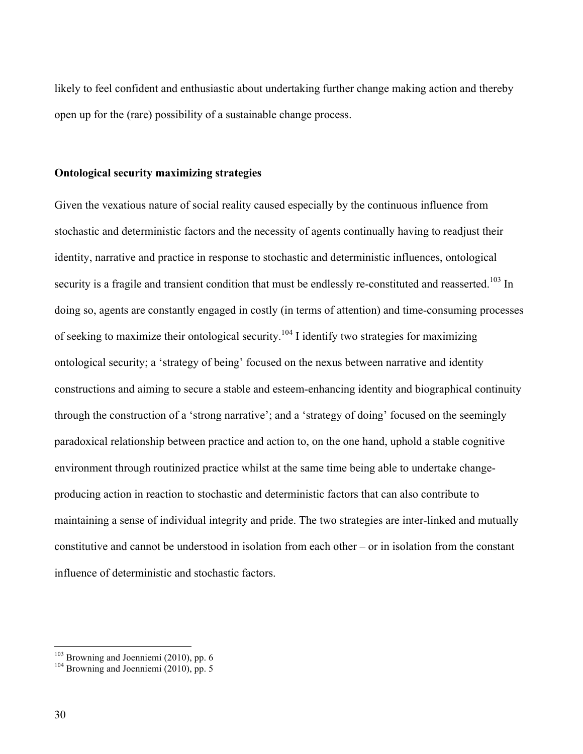likely to feel confident and enthusiastic about undertaking further change making action and thereby open up for the (rare) possibility of a sustainable change process.

#### **Ontological security maximizing strategies**

Given the vexatious nature of social reality caused especially by the continuous influence from stochastic and deterministic factors and the necessity of agents continually having to readjust their identity, narrative and practice in response to stochastic and deterministic influences, ontological security is a fragile and transient condition that must be endlessly re-constituted and reasserted.<sup>103</sup> In doing so, agents are constantly engaged in costly (in terms of attention) and time-consuming processes of seeking to maximize their ontological security.<sup>104</sup> I identify two strategies for maximizing ontological security; a 'strategy of being' focused on the nexus between narrative and identity constructions and aiming to secure a stable and esteem-enhancing identity and biographical continuity through the construction of a 'strong narrative'; and a 'strategy of doing' focused on the seemingly paradoxical relationship between practice and action to, on the one hand, uphold a stable cognitive environment through routinized practice whilst at the same time being able to undertake changeproducing action in reaction to stochastic and deterministic factors that can also contribute to maintaining a sense of individual integrity and pride. The two strategies are inter-linked and mutually constitutive and cannot be understood in isolation from each other – or in isolation from the constant influence of deterministic and stochastic factors.

 $103$  Browning and Joenniemi (2010), pp. 6

 $104$  Browning and Joenniemi (2010), pp. 5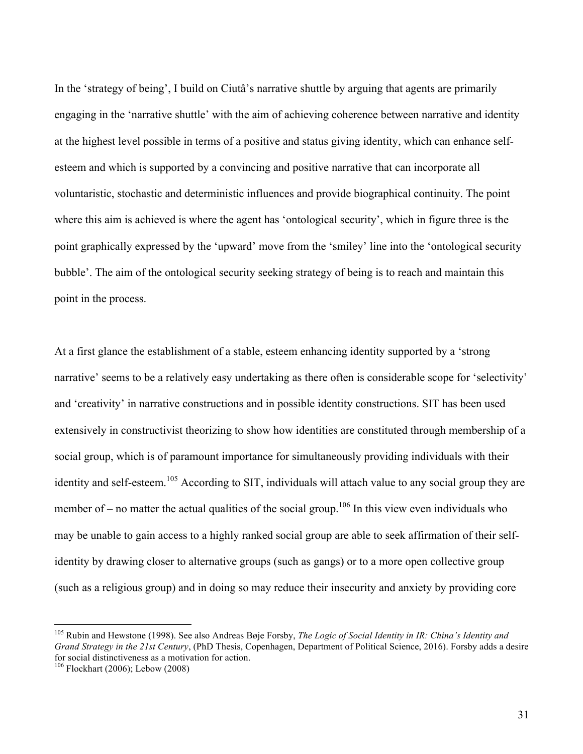In the 'strategy of being', I build on Ciutâ's narrative shuttle by arguing that agents are primarily engaging in the 'narrative shuttle' with the aim of achieving coherence between narrative and identity at the highest level possible in terms of a positive and status giving identity, which can enhance selfesteem and which is supported by a convincing and positive narrative that can incorporate all voluntaristic, stochastic and deterministic influences and provide biographical continuity. The point where this aim is achieved is where the agent has 'ontological security', which in figure three is the point graphically expressed by the 'upward' move from the 'smiley' line into the 'ontological security bubble'. The aim of the ontological security seeking strategy of being is to reach and maintain this point in the process.

At a first glance the establishment of a stable, esteem enhancing identity supported by a 'strong narrative' seems to be a relatively easy undertaking as there often is considerable scope for 'selectivity' and 'creativity' in narrative constructions and in possible identity constructions. SIT has been used extensively in constructivist theorizing to show how identities are constituted through membership of a social group, which is of paramount importance for simultaneously providing individuals with their identity and self-esteem.<sup>105</sup> According to SIT, individuals will attach value to any social group they are member of – no matter the actual qualities of the social group.<sup>106</sup> In this view even individuals who may be unable to gain access to a highly ranked social group are able to seek affirmation of their selfidentity by drawing closer to alternative groups (such as gangs) or to a more open collective group (such as a religious group) and in doing so may reduce their insecurity and anxiety by providing core

<u>.</u>

<sup>105</sup> Rubin and Hewstone (1998). See also Andreas Bøje Forsby, *The Logic of Social Identity in IR: China's Identity and Grand Strategy in the 21st Century*, (PhD Thesis, Copenhagen, Department of Political Science, 2016). Forsby adds a desire for social distinctiveness as a motivation for action.

 $106$  Flockhart (2006); Lebow (2008)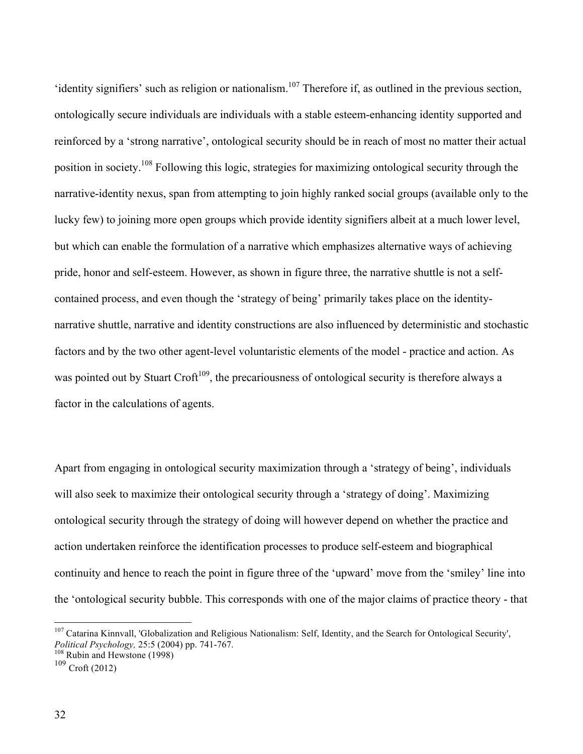'identity signifiers' such as religion or nationalism.<sup>107</sup> Therefore if, as outlined in the previous section, ontologically secure individuals are individuals with a stable esteem-enhancing identity supported and reinforced by a 'strong narrative', ontological security should be in reach of most no matter their actual position in society.<sup>108</sup> Following this logic, strategies for maximizing ontological security through the narrative-identity nexus, span from attempting to join highly ranked social groups (available only to the lucky few) to joining more open groups which provide identity signifiers albeit at a much lower level, but which can enable the formulation of a narrative which emphasizes alternative ways of achieving pride, honor and self-esteem. However, as shown in figure three, the narrative shuttle is not a selfcontained process, and even though the 'strategy of being' primarily takes place on the identitynarrative shuttle, narrative and identity constructions are also influenced by deterministic and stochastic factors and by the two other agent-level voluntaristic elements of the model - practice and action. As was pointed out by Stuart Croft<sup>109</sup>, the precariousness of ontological security is therefore always a factor in the calculations of agents.

Apart from engaging in ontological security maximization through a 'strategy of being', individuals will also seek to maximize their ontological security through a 'strategy of doing'. Maximizing ontological security through the strategy of doing will however depend on whether the practice and action undertaken reinforce the identification processes to produce self-esteem and biographical continuity and hence to reach the point in figure three of the 'upward' move from the 'smiley' line into the 'ontological security bubble. This corresponds with one of the major claims of practice theory - that

<sup>&</sup>lt;sup>107</sup> Catarina Kinnvall, 'Globalization and Religious Nationalism: Self, Identity, and the Search for Ontological Security', *Political Psychology,* 25:5 (2004) pp. 741-767.

<sup>&</sup>lt;sup>108</sup> Rubin and Hewstone (1998)

 $109$  Croft (2012)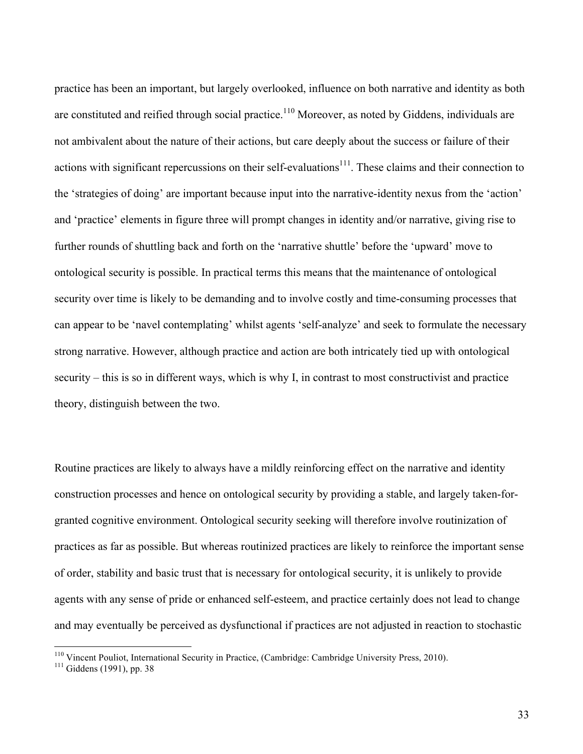practice has been an important, but largely overlooked, influence on both narrative and identity as both are constituted and reified through social practice.<sup>110</sup> Moreover, as noted by Giddens, individuals are not ambivalent about the nature of their actions, but care deeply about the success or failure of their actions with significant repercussions on their self-evaluations<sup>111</sup>. These claims and their connection to the 'strategies of doing' are important because input into the narrative-identity nexus from the 'action' and 'practice' elements in figure three will prompt changes in identity and/or narrative, giving rise to further rounds of shuttling back and forth on the 'narrative shuttle' before the 'upward' move to ontological security is possible. In practical terms this means that the maintenance of ontological security over time is likely to be demanding and to involve costly and time-consuming processes that can appear to be 'navel contemplating' whilst agents 'self-analyze' and seek to formulate the necessary strong narrative. However, although practice and action are both intricately tied up with ontological security – this is so in different ways, which is why I, in contrast to most constructivist and practice theory, distinguish between the two.

Routine practices are likely to always have a mildly reinforcing effect on the narrative and identity construction processes and hence on ontological security by providing a stable, and largely taken-forgranted cognitive environment. Ontological security seeking will therefore involve routinization of practices as far as possible. But whereas routinized practices are likely to reinforce the important sense of order, stability and basic trust that is necessary for ontological security, it is unlikely to provide agents with any sense of pride or enhanced self-esteem, and practice certainly does not lead to change and may eventually be perceived as dysfunctional if practices are not adjusted in reaction to stochastic

<sup>&</sup>lt;sup>110</sup> Vincent Pouliot, International Security in Practice, (Cambridge: Cambridge University Press, 2010).

 $111$  Giddens (1991), pp. 38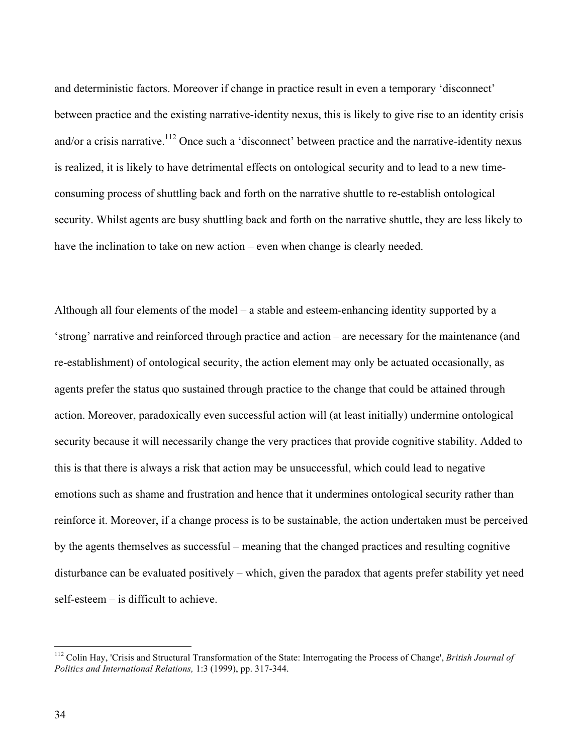and deterministic factors. Moreover if change in practice result in even a temporary 'disconnect' between practice and the existing narrative-identity nexus, this is likely to give rise to an identity crisis and/or a crisis narrative.<sup>112</sup> Once such a 'disconnect' between practice and the narrative-identity nexus is realized, it is likely to have detrimental effects on ontological security and to lead to a new timeconsuming process of shuttling back and forth on the narrative shuttle to re-establish ontological security. Whilst agents are busy shuttling back and forth on the narrative shuttle, they are less likely to have the inclination to take on new action – even when change is clearly needed.

Although all four elements of the model – a stable and esteem-enhancing identity supported by a 'strong' narrative and reinforced through practice and action – are necessary for the maintenance (and re-establishment) of ontological security, the action element may only be actuated occasionally, as agents prefer the status quo sustained through practice to the change that could be attained through action. Moreover, paradoxically even successful action will (at least initially) undermine ontological security because it will necessarily change the very practices that provide cognitive stability. Added to this is that there is always a risk that action may be unsuccessful, which could lead to negative emotions such as shame and frustration and hence that it undermines ontological security rather than reinforce it. Moreover, if a change process is to be sustainable, the action undertaken must be perceived by the agents themselves as successful – meaning that the changed practices and resulting cognitive disturbance can be evaluated positively – which, given the paradox that agents prefer stability yet need self-esteem – is difficult to achieve.

<sup>112</sup> Colin Hay, 'Crisis and Structural Transformation of the State: Interrogating the Process of Change', *British Journal of Politics and International Relations,* 1:3 (1999), pp. 317-344.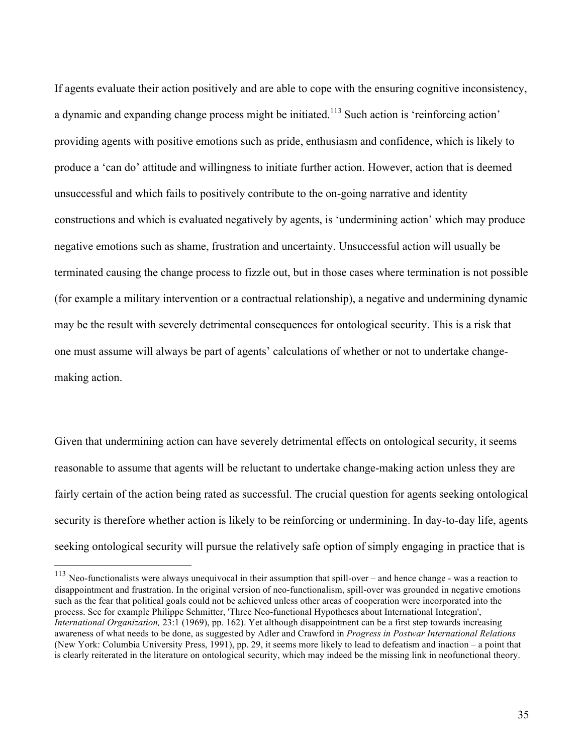If agents evaluate their action positively and are able to cope with the ensuring cognitive inconsistency, a dynamic and expanding change process might be initiated.<sup>113</sup> Such action is 'reinforcing action' providing agents with positive emotions such as pride, enthusiasm and confidence, which is likely to produce a 'can do' attitude and willingness to initiate further action. However, action that is deemed unsuccessful and which fails to positively contribute to the on-going narrative and identity constructions and which is evaluated negatively by agents, is 'undermining action' which may produce negative emotions such as shame, frustration and uncertainty. Unsuccessful action will usually be terminated causing the change process to fizzle out, but in those cases where termination is not possible (for example a military intervention or a contractual relationship), a negative and undermining dynamic may be the result with severely detrimental consequences for ontological security. This is a risk that one must assume will always be part of agents' calculations of whether or not to undertake changemaking action.

Given that undermining action can have severely detrimental effects on ontological security, it seems reasonable to assume that agents will be reluctant to undertake change-making action unless they are fairly certain of the action being rated as successful. The crucial question for agents seeking ontological security is therefore whether action is likely to be reinforcing or undermining. In day-to-day life, agents seeking ontological security will pursue the relatively safe option of simply engaging in practice that is

 $113$  Neo-functionalists were always unequivocal in their assumption that spill-over – and hence change - was a reaction to disappointment and frustration. In the original version of neo-functionalism, spill-over was grounded in negative emotions such as the fear that political goals could not be achieved unless other areas of cooperation were incorporated into the process. See for example Philippe Schmitter, 'Three Neo-functional Hypotheses about International Integration', *International Organization,* 23:1 (1969), pp. 162). Yet although disappointment can be a first step towards increasing awareness of what needs to be done, as suggested by Adler and Crawford in *Progress in Postwar International Relations* (New York: Columbia University Press, 1991), pp. 29, it seems more likely to lead to defeatism and inaction – a point that is clearly reiterated in the literature on ontological security, which may indeed be the missing link in neofunctional theory.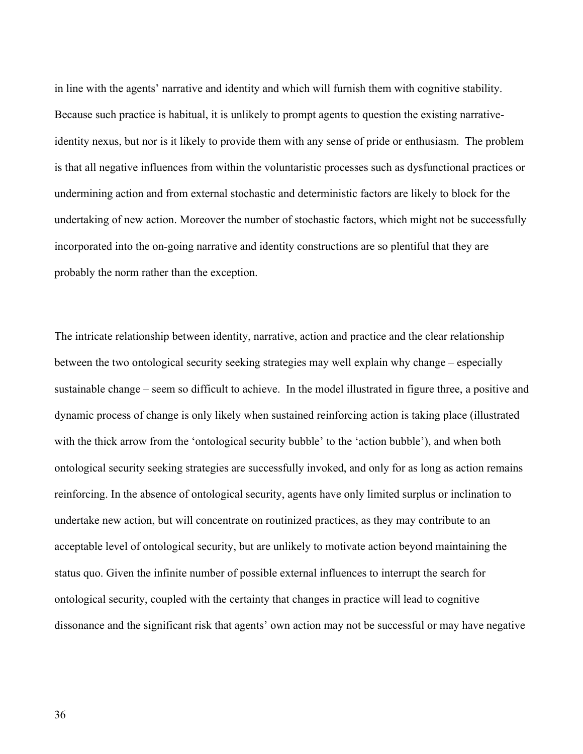in line with the agents' narrative and identity and which will furnish them with cognitive stability. Because such practice is habitual, it is unlikely to prompt agents to question the existing narrativeidentity nexus, but nor is it likely to provide them with any sense of pride or enthusiasm. The problem is that all negative influences from within the voluntaristic processes such as dysfunctional practices or undermining action and from external stochastic and deterministic factors are likely to block for the undertaking of new action. Moreover the number of stochastic factors, which might not be successfully incorporated into the on-going narrative and identity constructions are so plentiful that they are probably the norm rather than the exception.

The intricate relationship between identity, narrative, action and practice and the clear relationship between the two ontological security seeking strategies may well explain why change – especially sustainable change – seem so difficult to achieve. In the model illustrated in figure three, a positive and dynamic process of change is only likely when sustained reinforcing action is taking place (illustrated with the thick arrow from the 'ontological security bubble' to the 'action bubble'), and when both ontological security seeking strategies are successfully invoked, and only for as long as action remains reinforcing. In the absence of ontological security, agents have only limited surplus or inclination to undertake new action, but will concentrate on routinized practices, as they may contribute to an acceptable level of ontological security, but are unlikely to motivate action beyond maintaining the status quo. Given the infinite number of possible external influences to interrupt the search for ontological security, coupled with the certainty that changes in practice will lead to cognitive dissonance and the significant risk that agents' own action may not be successful or may have negative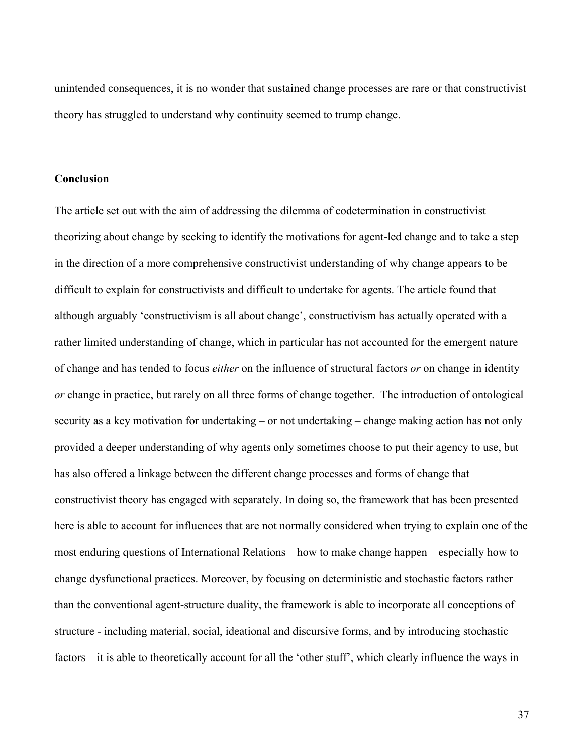unintended consequences, it is no wonder that sustained change processes are rare or that constructivist theory has struggled to understand why continuity seemed to trump change.

#### **Conclusion**

The article set out with the aim of addressing the dilemma of codetermination in constructivist theorizing about change by seeking to identify the motivations for agent-led change and to take a step in the direction of a more comprehensive constructivist understanding of why change appears to be difficult to explain for constructivists and difficult to undertake for agents. The article found that although arguably 'constructivism is all about change', constructivism has actually operated with a rather limited understanding of change, which in particular has not accounted for the emergent nature of change and has tended to focus *either* on the influence of structural factors *or* on change in identity *or* change in practice, but rarely on all three forms of change together. The introduction of ontological security as a key motivation for undertaking – or not undertaking – change making action has not only provided a deeper understanding of why agents only sometimes choose to put their agency to use, but has also offered a linkage between the different change processes and forms of change that constructivist theory has engaged with separately. In doing so, the framework that has been presented here is able to account for influences that are not normally considered when trying to explain one of the most enduring questions of International Relations – how to make change happen – especially how to change dysfunctional practices. Moreover, by focusing on deterministic and stochastic factors rather than the conventional agent-structure duality, the framework is able to incorporate all conceptions of structure - including material, social, ideational and discursive forms, and by introducing stochastic factors – it is able to theoretically account for all the 'other stuff', which clearly influence the ways in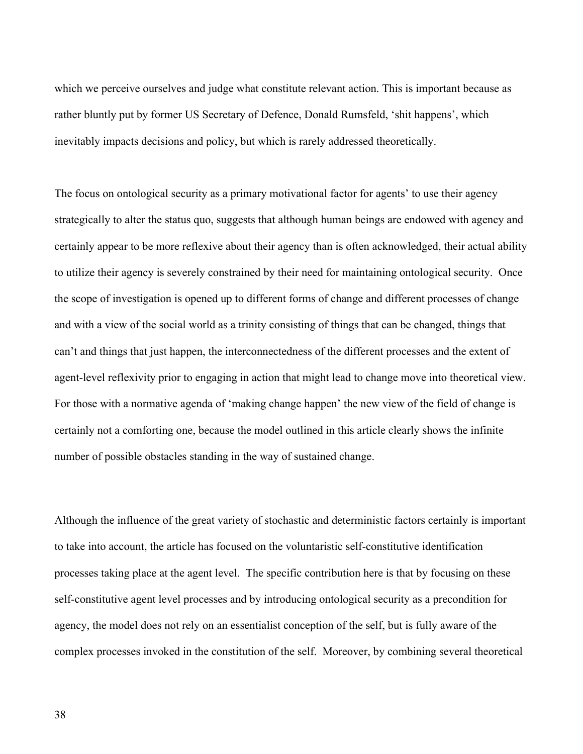which we perceive ourselves and judge what constitute relevant action. This is important because as rather bluntly put by former US Secretary of Defence, Donald Rumsfeld, 'shit happens', which inevitably impacts decisions and policy, but which is rarely addressed theoretically.

The focus on ontological security as a primary motivational factor for agents' to use their agency strategically to alter the status quo, suggests that although human beings are endowed with agency and certainly appear to be more reflexive about their agency than is often acknowledged, their actual ability to utilize their agency is severely constrained by their need for maintaining ontological security. Once the scope of investigation is opened up to different forms of change and different processes of change and with a view of the social world as a trinity consisting of things that can be changed, things that can't and things that just happen, the interconnectedness of the different processes and the extent of agent-level reflexivity prior to engaging in action that might lead to change move into theoretical view. For those with a normative agenda of 'making change happen' the new view of the field of change is certainly not a comforting one, because the model outlined in this article clearly shows the infinite number of possible obstacles standing in the way of sustained change.

Although the influence of the great variety of stochastic and deterministic factors certainly is important to take into account, the article has focused on the voluntaristic self-constitutive identification processes taking place at the agent level. The specific contribution here is that by focusing on these self-constitutive agent level processes and by introducing ontological security as a precondition for agency, the model does not rely on an essentialist conception of the self, but is fully aware of the complex processes invoked in the constitution of the self. Moreover, by combining several theoretical